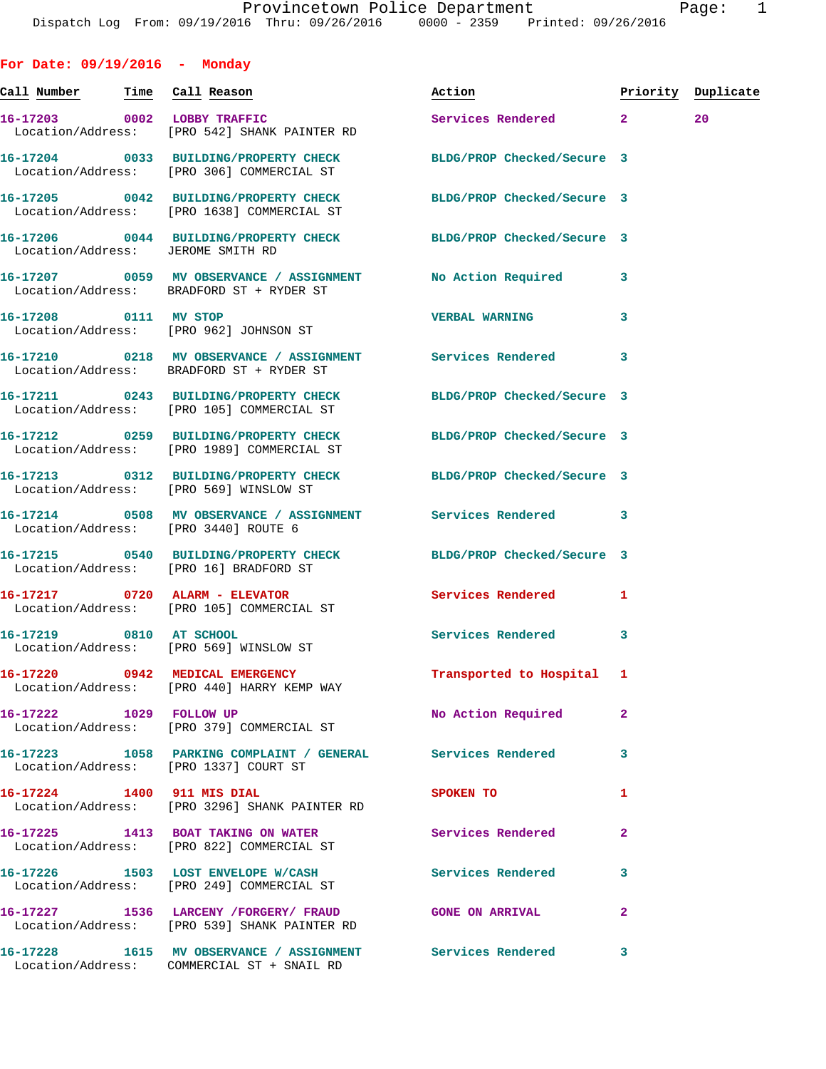**Call Number Time Call Reason Action Priority Duplicate 16-17203 0002 LOBBY TRAFFIC Services Rendered 2 20**  Location/Address: [PRO 542] SHANK PAINTER RD **16-17204 0033 BUILDING/PROPERTY CHECK BLDG/PROP Checked/Secure 3**  Location/Address: [PRO 306] COMMERCIAL ST **16-17205 0042 BUILDING/PROPERTY CHECK BLDG/PROP Checked/Secure 3**  Location/Address: [PRO 1638] COMMERCIAL ST **16-17206 0044 BUILDING/PROPERTY CHECK BLDG/PROP Checked/Secure 3**  Location/Address: JEROME SMITH RD **16-17207 0059 MV OBSERVANCE / ASSIGNMENT No Action Required 3**  Location/Address: BRADFORD ST + RYDER ST **16-17208 0111 MV STOP VERBAL WARNING 3**  Location/Address: [PRO 962] JOHNSON ST **16-17210 0218 MV OBSERVANCE / ASSIGNMENT Services Rendered 3**  Location/Address: BRADFORD ST + RYDER ST **16-17211 0243 BUILDING/PROPERTY CHECK BLDG/PROP Checked/Secure 3**  Location/Address: [PRO 105] COMMERCIAL ST **16-17212 0259 BUILDING/PROPERTY CHECK BLDG/PROP Checked/Secure 3**  Location/Address: [PRO 1989] COMMERCIAL ST **16-17213 0312 BUILDING/PROPERTY CHECK BLDG/PROP Checked/Secure 3**  Location/Address: [PRO 569] WINSLOW ST **16-17214 0508 MV OBSERVANCE / ASSIGNMENT Services Rendered 3**  Location/Address: [PRO 3440] ROUTE 6 **16-17215 0540 BUILDING/PROPERTY CHECK BLDG/PROP Checked/Secure 3**  Location/Address: [PRO 16] BRADFORD ST **16-17217 0720 ALARM - ELEVATOR Services Rendered 1**  Location/Address: [PRO 105] COMMERCIAL ST **16-17219 0810 AT SCHOOL Services Rendered 3**  Location/Address: [PRO 569] WINSLOW ST **16-17220 0942 MEDICAL EMERGENCY Transported to Hospital 1**  Location/Address: [PRO 440] HARRY KEMP WAY **16-17222 1029 FOLLOW UP No Action Required 2**  Location/Address: [PRO 379] COMMERCIAL ST **16-17223 1058 PARKING COMPLAINT / GENERAL Services Rendered 3**  Location/Address: [PRO 1337] COURT ST **16-17224 1400 911 MIS DIAL SPOKEN TO 1**  Location/Address: [PRO 3296] SHANK PAINTER RD **16-17225 1413 BOAT TAKING ON WATER Services Rendered 2**  Location/Address: [PRO 822] COMMERCIAL ST **16-17226 1503 LOST ENVELOPE W/CASH Services Rendered 3**  Location/Address: [PRO 249] COMMERCIAL ST **16-17227 1536 LARCENY /FORGERY/ FRAUD GONE ON ARRIVAL 2**  Location/Address: [PRO 539] SHANK PAINTER RD

Location/Address: COMMERCIAL ST + SNAIL RD

**For Date: 09/19/2016 - Monday**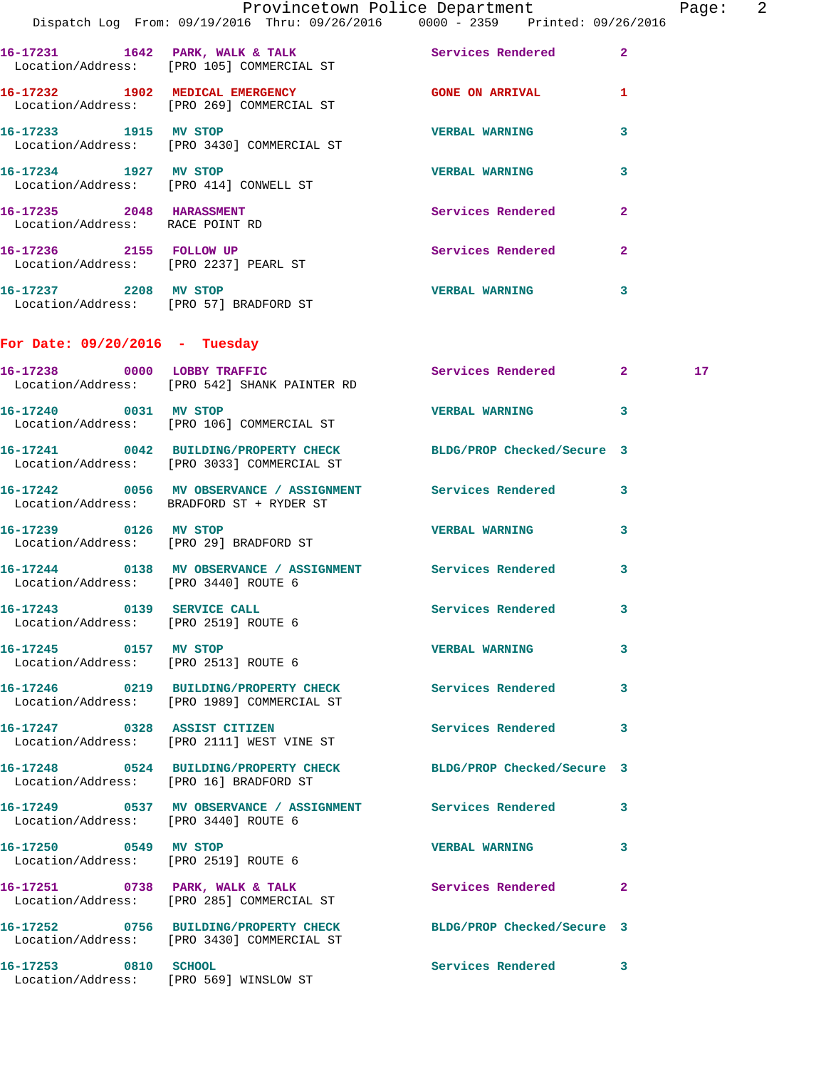|                                                                    | Dispatch Log From: 09/19/2016 Thru: 09/26/2016 0000 - 2359 Printed: 09/26/2016                                 | Provincetown Police Department Page: 2 |              |    |  |
|--------------------------------------------------------------------|----------------------------------------------------------------------------------------------------------------|----------------------------------------|--------------|----|--|
|                                                                    | 16-17231 1642 PARK, WALK & TALK Services Rendered<br>Location/Address: [PRO 105] COMMERCIAL ST                 |                                        | $\mathbf{2}$ |    |  |
|                                                                    | 16-17232 1902 MEDICAL EMERGENCY CONE ON ARRIVAL<br>Location/Address: [PRO 269] COMMERCIAL ST                   |                                        | 1            |    |  |
|                                                                    | 16-17233 1915 MV STOP<br>Location/Address: [PRO 3430] COMMERCIAL ST                                            | <b>VERBAL WARNING</b>                  | 3            |    |  |
| $16 - 17234$ 1927 MV STOP                                          | Location/Address: [PRO 414] CONWELL ST                                                                         | <b>VERBAL WARNING</b>                  | 3            |    |  |
| 16-17235 2048 HARASSMENT<br>Location/Address: RACE POINT RD        |                                                                                                                | Services Rendered                      | $\mathbf{2}$ |    |  |
| Location/Address: [PRO 2237] PEARL ST                              | 16-17236 2155 FOLLOW UP                                                                                        | Services Rendered                      | $\mathbf{2}$ |    |  |
| 16-17237 2208 MV STOP<br>Location/Address: [PRO 57] BRADFORD ST    |                                                                                                                | <b>VERBAL WARNING</b>                  | 3            |    |  |
| For Date: $09/20/2016$ - Tuesday                                   |                                                                                                                |                                        |              |    |  |
|                                                                    | 16-17238 0000 LOBBY TRAFFIC<br>Location/Address: [PRO 542] SHANK PAINTER RD                                    | Services Rendered 2                    |              | 17 |  |
|                                                                    | 16-17240 0031 MV STOP<br>Location/Address: [PRO 106] COMMERCIAL ST                                             | <b>VERBAL WARNING</b>                  | 3            |    |  |
|                                                                    | 16-17241 0042 BUILDING/PROPERTY CHECK BLDG/PROP Checked/Secure 3<br>Location/Address: [PRO 3033] COMMERCIAL ST |                                        |              |    |  |
|                                                                    | 16-17242 0056 MV OBSERVANCE / ASSIGNMENT Services Rendered<br>Location/Address: BRADFORD ST + RYDER ST         |                                        | 3            |    |  |
| 16-17239 0126 MV STOP                                              | Location/Address: [PRO 29] BRADFORD ST                                                                         | <b>VERBAL WARNING</b>                  | $\mathbf{3}$ |    |  |
| Location/Address: [PRO 3440] ROUTE 6                               | 16-17244 0138 MV OBSERVANCE / ASSIGNMENT Services Rendered                                                     |                                        | 3            |    |  |
| 16-17243 0139 SERVICE CALL<br>Location/Address: [PRO 2519] ROUTE 6 |                                                                                                                | Services Rendered 3                    |              |    |  |
| 16-17245 0157 MV STOP<br>Location/Address: [PRO 2513] ROUTE 6      |                                                                                                                | <b>VERBAL WARNING</b>                  | 3            |    |  |
|                                                                    | 16-17246 0219 BUILDING/PROPERTY CHECK Services Rendered<br>Location/Address: [PRO 1989] COMMERCIAL ST          |                                        | 3            |    |  |
|                                                                    | 16-17247 0328 ASSIST CITIZEN<br>Location/Address: [PRO 2111] WEST VINE ST                                      | Services Rendered                      | 3            |    |  |
| Location/Address: [PRO 16] BRADFORD ST                             | 16-17248 0524 BUILDING/PROPERTY CHECK BLDG/PROP Checked/Secure 3                                               |                                        |              |    |  |
| Location/Address: [PRO 3440] ROUTE 6                               | 16-17249 0537 MV OBSERVANCE / ASSIGNMENT Services Rendered                                                     |                                        | 3            |    |  |
| 16-17250 0549 MV STOP                                              | Location/Address: [PRO 2519] ROUTE 6                                                                           | VERBAL WARNING 3                       |              |    |  |
|                                                                    | 16-17251 0738 PARK, WALK & TALK Services Rendered<br>Location/Address: [PRO 285] COMMERCIAL ST                 |                                        | $\mathbf{2}$ |    |  |
|                                                                    | 16-17252 0756 BUILDING/PROPERTY CHECK BLDG/PROP Checked/Secure 3<br>Location/Address: [PRO 3430] COMMERCIAL ST |                                        |              |    |  |
| 16-17253 0810 SCHOOL                                               | Location/Address: [PRO 569] WINSLOW ST                                                                         | Services Rendered                      | $\mathbf{3}$ |    |  |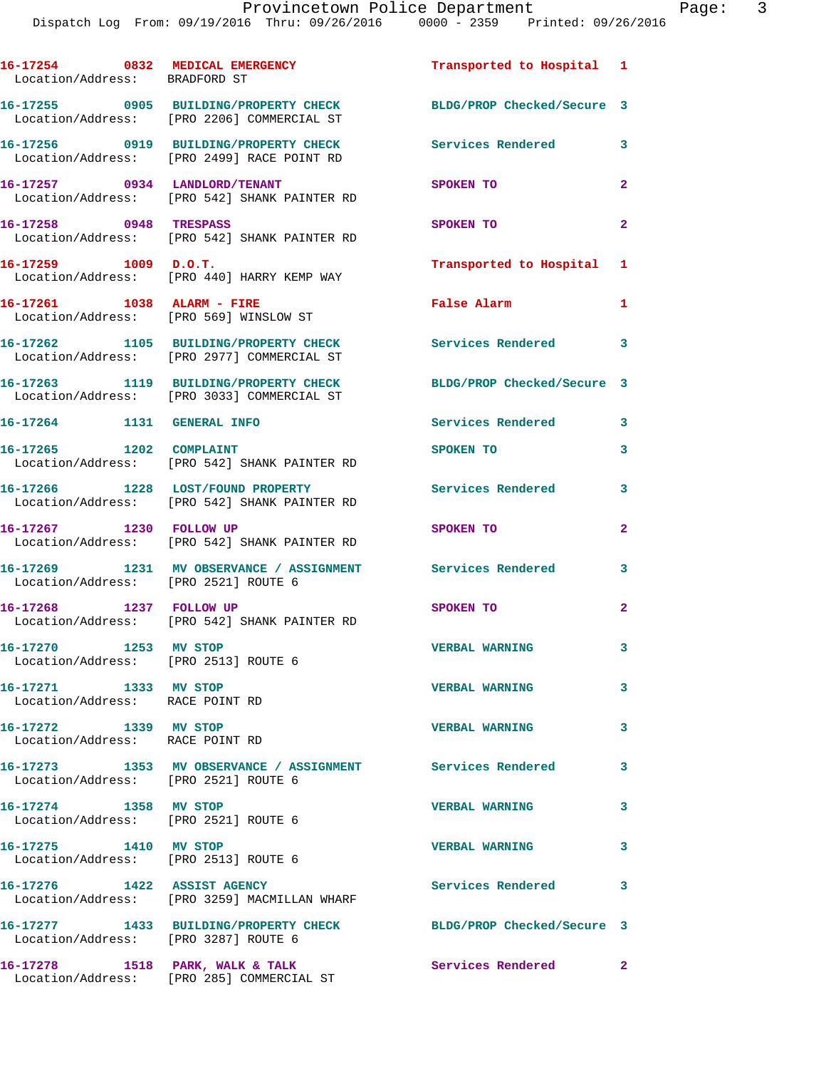| 16-17254 0832 MEDICAL EMERGENCY<br>Location/Address: BRADFORD ST |                                                                                     | Transported to Hospital 1  |                |
|------------------------------------------------------------------|-------------------------------------------------------------------------------------|----------------------------|----------------|
|                                                                  | 16-17255 0905 BUILDING/PROPERTY CHECK<br>Location/Address: [PRO 2206] COMMERCIAL ST | BLDG/PROP Checked/Secure 3 |                |
|                                                                  | 16-17256 0919 BUILDING/PROPERTY CHECK<br>Location/Address: [PRO 2499] RACE POINT RD | <b>Services Rendered</b> 3 |                |
|                                                                  | 16-17257 0934 LANDLORD/TENANT<br>Location/Address: [PRO 542] SHANK PAINTER RD       | SPOKEN TO                  | $\overline{2}$ |
| 16-17258 0948 TRESPASS                                           | Location/Address: [PRO 542] SHANK PAINTER RD                                        | SPOKEN TO                  | $\overline{2}$ |
| 16-17259 1009 D.O.T.                                             | Location/Address: [PRO 440] HARRY KEMP WAY                                          | Transported to Hospital 1  |                |
|                                                                  | 16-17261 1038 ALARM - FIRE<br>Location/Address: [PRO 569] WINSLOW ST                | False Alarm                | 1              |
|                                                                  | 16-17262 1105 BUILDING/PROPERTY CHECK<br>Location/Address: [PRO 2977] COMMERCIAL ST | Services Rendered 3        |                |
|                                                                  | 16-17263 1119 BUILDING/PROPERTY CHECK<br>Location/Address: [PRO 3033] COMMERCIAL ST | BLDG/PROP Checked/Secure 3 |                |
| 16-17264 1131 GENERAL INFO                                       |                                                                                     | <b>Services Rendered</b>   | 3              |
|                                                                  | 16-17265 1202 COMPLAINT<br>Location/Address: [PRO 542] SHANK PAINTER RD             | SPOKEN TO                  | 3              |
|                                                                  | 16-17266 1228 LOST/FOUND PROPERTY<br>Location/Address: [PRO 542] SHANK PAINTER RD   | Services Rendered          | $\mathbf{3}$   |
|                                                                  | 16-17267 1230 FOLLOW UP<br>Location/Address: [PRO 542] SHANK PAINTER RD             | SPOKEN TO                  | $\mathbf{2}$   |
| Location/Address: [PRO 2521] ROUTE 6                             | 16-17269 1231 MV OBSERVANCE / ASSIGNMENT Services Rendered                          |                            | 3              |
|                                                                  | 16-17268 1237 FOLLOW UP<br>Location/Address: [PRO 542] SHANK PAINTER RD             | SPOKEN TO                  | $\mathbf{2}$   |
| 16-17270 1253 MV STOP<br>Location/Address: [PRO 2513] ROUTE 6    |                                                                                     | <b>VERBAL WARNING</b>      | 3              |
| 16-17271 1333 MV STOP<br>Location/Address: RACE POINT RD         |                                                                                     | <b>VERBAL WARNING</b>      | 3              |
| 16-17272 1339 MV STOP<br>Location/Address: RACE POINT RD         |                                                                                     | <b>VERBAL WARNING</b>      | 3              |
| Location/Address: [PRO 2521] ROUTE 6                             | 16-17273 1353 MV OBSERVANCE / ASSIGNMENT Services Rendered                          |                            | 3              |
| 16-17274 1358 MV STOP<br>Location/Address: [PRO 2521] ROUTE 6    |                                                                                     | <b>VERBAL WARNING</b>      | 3              |
| 16-17275 1410 MV STOP<br>Location/Address: [PRO 2513] ROUTE 6    |                                                                                     | <b>VERBAL WARNING</b>      | 3              |
| 16-17276 1422 ASSIST AGENCY                                      | Location/Address: [PRO 3259] MACMILLAN WHARF                                        | Services Rendered          | 3              |
| Location/Address: [PRO 3287] ROUTE 6                             | 16-17277 1433 BUILDING/PROPERTY CHECK                                               | BLDG/PROP Checked/Secure 3 |                |
| 16-17278 1518 PARK, WALK & TALK                                  | Location/Address: [PRO 285] COMMERCIAL ST                                           | Services Rendered          | $\mathbf{2}$   |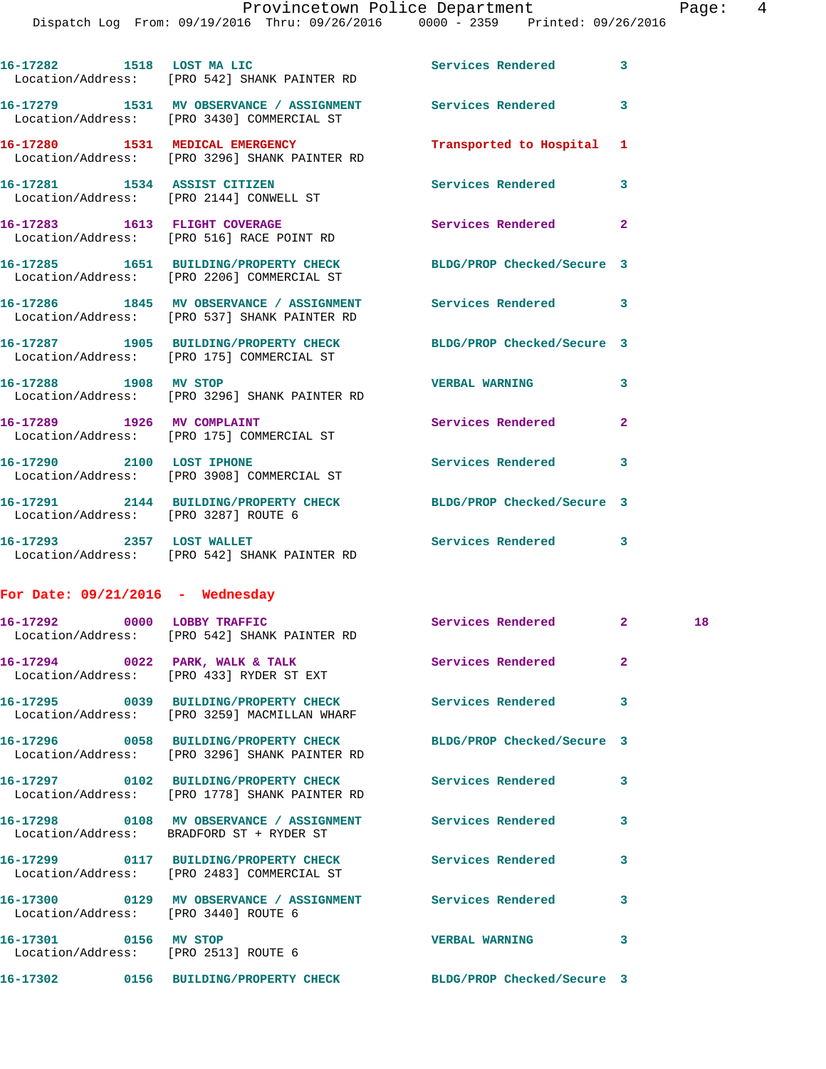Dispatch Log From: 09/19/2016 Thru: 09/26/2016 0000 - 2359 Printed: 09/26/2016

|                                    | $L_{\text{L}}$                                                                                                    |                            |              |  |
|------------------------------------|-------------------------------------------------------------------------------------------------------------------|----------------------------|--------------|--|
|                                    | 16-17282 1518 LOST MA LIC<br>Location/Address: [PRO 542] SHANK PAINTER RD                                         | Services Rendered 3        |              |  |
|                                    | 16-17279 1531 MV OBSERVANCE / ASSIGNMENT Services Rendered<br>Location/Address: [PRO 3430] COMMERCIAL ST          |                            | 3            |  |
|                                    | 16-17280 1531 MEDICAL EMERGENCY<br>Location/Address: [PRO 3296] SHANK PAINTER RD                                  | Transported to Hospital    | 1            |  |
|                                    | 16-17281 1534 ASSIST CITIZEN<br>Location/Address: [PRO 2144] CONWELL ST                                           | Services Rendered 3        |              |  |
|                                    | 16-17283 1613 FLIGHT COVERAGE<br>Location/Address: [PRO 516] RACE POINT RD                                        | Services Rendered          | $\mathbf{2}$ |  |
|                                    | 16-17285 1651 BUILDING/PROPERTY CHECK BLDG/PROP Checked/Secure 3<br>Location/Address: [PRO 2206] COMMERCIAL ST    |                            |              |  |
|                                    | 16-17286 1845 MV OBSERVANCE / ASSIGNMENT Services Rendered 3<br>Location/Address: [PRO 537] SHANK PAINTER RD      |                            |              |  |
|                                    | 16-17287 1905 BUILDING/PROPERTY CHECK BLDG/PROP Checked/Secure 3<br>Location/Address: [PRO 175] COMMERCIAL ST     |                            |              |  |
|                                    | 16-17288 1908 MV STOP<br>Location/Address: [PRO 3296] SHANK PAINTER RD                                            | <b>VERBAL WARNING</b>      | 3            |  |
|                                    | 16-17289 1926 MV COMPLAINT<br>Location/Address: [PRO 175] COMMERCIAL ST                                           | Services Rendered          | $\mathbf{2}$ |  |
|                                    | 16-17290 2100 LOST IPHONE<br>Location/Address: [PRO 3908] COMMERCIAL ST                                           | Services Rendered          | 3            |  |
|                                    | 16-17291 2144 BUILDING/PROPERTY CHECK<br>Location/Address: [PRO 3287] ROUTE 6                                     | BLDG/PROP Checked/Secure 3 |              |  |
|                                    | 16-17293 2357 LOST WALLET<br>Location/Address: [PRO 542] SHANK PAINTER RD                                         | Services Rendered 3        |              |  |
| For Date: $09/21/2016$ - Wednesday |                                                                                                                   |                            |              |  |
| 16-17292 0000 LOBBY TRAFFIC        | Location/Address: [PRO 542] SHANK PAINTER RD                                                                      | Services Rendered 2 2 18   |              |  |
|                                    | 16-17294 0022 PARK, WALK & TALK<br>Location/Address: [PRO 433] RYDER ST EXT                                       | Services Rendered          | $\mathbf{2}$ |  |
|                                    | 16-17295 0039 BUILDING/PROPERTY CHECK Services Rendered<br>Location/Address: [PRO 3259] MACMILLAN WHARF           |                            | 3            |  |
|                                    | 16-17296 0058 BUILDING/PROPERTY CHECK BLDG/PROP Checked/Secure 3<br>Location/Address: [PRO 3296] SHANK PAINTER RD |                            |              |  |
|                                    | 16-17297 0102 BUILDING/PROPERTY CHECK Services Rendered<br>Location/Address: [PRO 1778] SHANK PAINTER RD          |                            | 3            |  |
|                                    | 16-17298 0108 MV OBSERVANCE / ASSIGNMENT Services Rendered<br>Location/Address: BRADFORD ST + RYDER ST            |                            | 3            |  |
|                                    |                                                                                                                   |                            | 3            |  |
|                                    | 16-17300 0129 MV OBSERVANCE / ASSIGNMENT Services Rendered<br>Location/Address: [PRO 3440] ROUTE 6                |                            | 3            |  |
| 16-17301 0156 MV STOP              | Location/Address: [PRO 2513] ROUTE 6                                                                              | <b>VERBAL WARNING</b>      | 3            |  |
|                                    |                                                                                                                   |                            |              |  |

**16-17302 0156 BUILDING/PROPERTY CHECK BLDG/PROP Checked/Secure 3**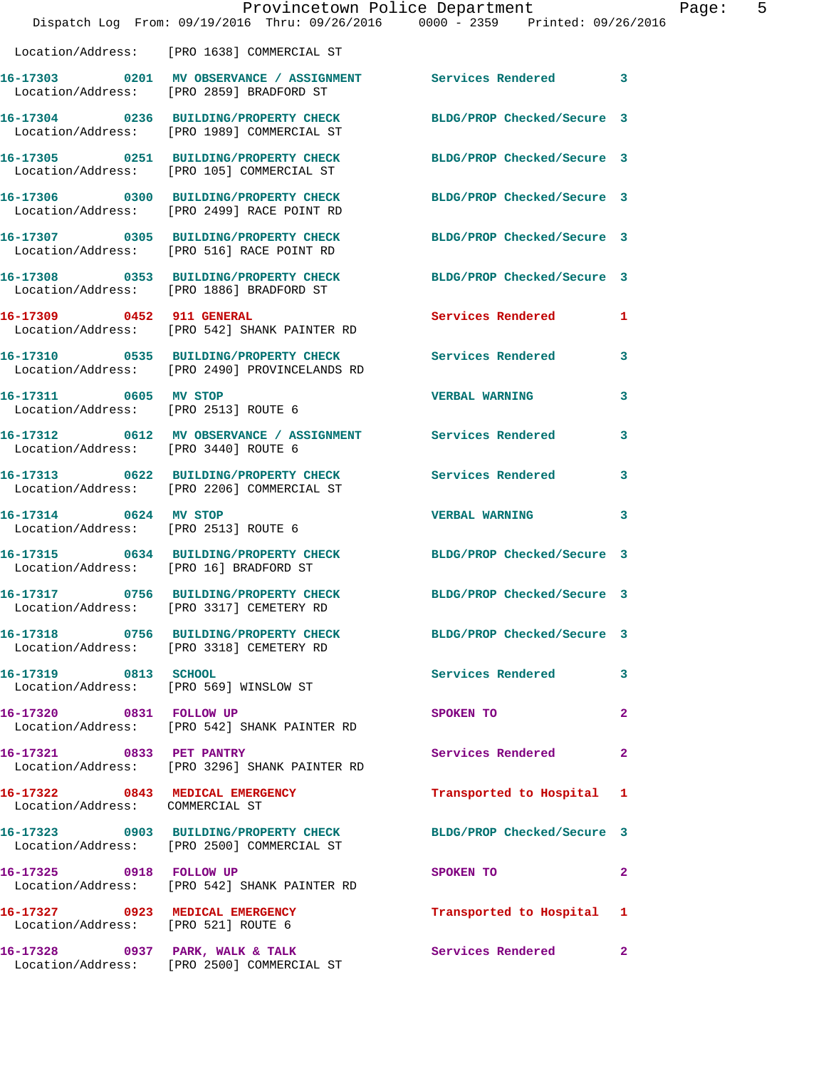|                                                                    | Provincetown Police Department                                                                               |                            |              |
|--------------------------------------------------------------------|--------------------------------------------------------------------------------------------------------------|----------------------------|--------------|
|                                                                    | Dispatch Log From: 09/19/2016 Thru: 09/26/2016 0000 - 2359 Printed: 09/26/2016                               |                            |              |
|                                                                    | Location/Address: [PRO 1638] COMMERCIAL ST                                                                   |                            |              |
|                                                                    | 16-17303 0201 MV OBSERVANCE / ASSIGNMENT Services Rendered<br>Location/Address: [PRO 2859] BRADFORD ST       |                            | 3            |
|                                                                    | 16-17304 0236 BUILDING/PROPERTY CHECK<br>Location/Address: [PRO 1989] COMMERCIAL ST                          | BLDG/PROP Checked/Secure 3 |              |
|                                                                    | 16-17305 0251 BUILDING/PROPERTY CHECK<br>Location/Address: [PRO 105] COMMERCIAL ST                           | BLDG/PROP Checked/Secure 3 |              |
|                                                                    | 16-17306 0300 BUILDING/PROPERTY CHECK<br>Location/Address: [PRO 2499] RACE POINT RD                          | BLDG/PROP Checked/Secure 3 |              |
|                                                                    | 16-17307 0305 BUILDING/PROPERTY CHECK<br>Location/Address: [PRO 516] RACE POINT RD                           | BLDG/PROP Checked/Secure 3 |              |
|                                                                    | 16-17308 0353 BUILDING/PROPERTY CHECK<br>Location/Address: [PRO 1886] BRADFORD ST                            | BLDG/PROP Checked/Secure 3 |              |
| 16-17309 0452 911 GENERAL                                          | Location/Address: [PRO 542] SHANK PAINTER RD                                                                 | Services Rendered          | 1            |
|                                                                    | 16-17310 0535 BUILDING/PROPERTY CHECK<br>Location/Address: [PRO 2490] PROVINCELANDS RD                       | <b>Services Rendered</b>   | 3            |
| 16-17311 0605 MV STOP<br>Location/Address: [PRO 2513] ROUTE 6      |                                                                                                              | <b>VERBAL WARNING</b>      | 3            |
| Location/Address: [PRO 3440] ROUTE 6                               | 16-17312 0612 MV OBSERVANCE / ASSIGNMENT Services Rendered                                                   |                            | 3            |
|                                                                    | 16-17313 0622 BUILDING/PROPERTY CHECK<br>Location/Address: [PRO 2206] COMMERCIAL ST                          | <b>Services Rendered</b>   | 3            |
| 16-17314 0624 MV STOP<br>Location/Address: [PRO 2513] ROUTE 6      |                                                                                                              | <b>VERBAL WARNING</b>      | 3            |
| Location/Address: [PRO 16] BRADFORD ST                             | 16-17315 0634 BUILDING/PROPERTY CHECK                                                                        | BLDG/PROP Checked/Secure 3 |              |
| 16-17317                                                           | 0756 BUILDING/PROPERTY CHECK<br>Location/Address: [PRO 3317] CEMETERY RD                                     | BLDG/PROP Checked/Secure 3 |              |
|                                                                    | 16-17318 0756 BUILDING/PROPERTY CHECK BLDG/PROP Checked/Secure 3<br>Location/Address: [PRO 3318] CEMETERY RD |                            |              |
| 16-17319 0813 SCHOOL                                               | Location/Address: [PRO 569] WINSLOW ST                                                                       | Services Rendered          | 3            |
| 16-17320 0831 FOLLOW UP                                            | Location/Address: [PRO 542] SHANK PAINTER RD                                                                 | SPOKEN TO                  | 2            |
| 16-17321 0833 PET PANTRY                                           | Location/Address: [PRO 3296] SHANK PAINTER RD                                                                | Services Rendered          | 2            |
| 16-17322 0843 MEDICAL EMERGENCY<br>Location/Address: COMMERCIAL ST |                                                                                                              | Transported to Hospital    | 1            |
|                                                                    | 16-17323 0903 BUILDING/PROPERTY CHECK<br>Location/Address: [PRO 2500] COMMERCIAL ST                          | BLDG/PROP Checked/Secure 3 |              |
|                                                                    | 16-17325 0918 FOLLOW UP<br>Location/Address: [PRO 542] SHANK PAINTER RD                                      | SPOKEN TO                  | $\mathbf{2}$ |
| Location/Address: [PRO 521] ROUTE 6                                | 16-17327 0923 MEDICAL EMERGENCY                                                                              | Transported to Hospital    | 1            |
|                                                                    | 16-17328 0937 PARK, WALK & TALK<br>Location/Address: [PRO 2500] COMMERCIAL ST                                | Services Rendered          | 2            |

Page: 5<br><sup>16</sup>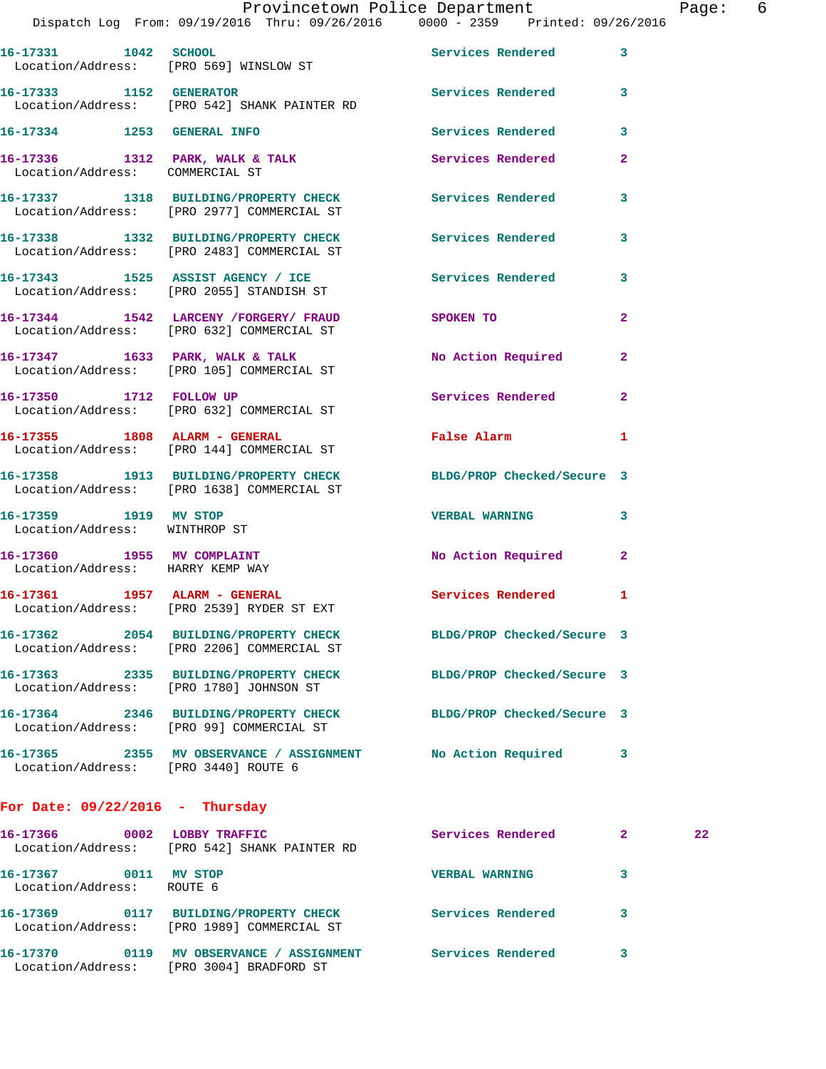|                                                                | Dispatch Log From: 09/19/2016 Thru: 09/26/2016 0000 - 2359 Printed: 09/26/2016                                 | Provincetown Police Department |                | Page: 6 |  |
|----------------------------------------------------------------|----------------------------------------------------------------------------------------------------------------|--------------------------------|----------------|---------|--|
|                                                                | 16-17331 1042 SCHOOL<br>Location/Address: [PRO 569] WINSLOW ST                                                 | Services Rendered 3            |                |         |  |
|                                                                | 16-17333 1152 GENERATOR<br>Location/Address: [PRO 542] SHANK PAINTER RD                                        | Services Rendered 3            |                |         |  |
|                                                                | 16-17334 1253 GENERAL INFO                                                                                     | <b>Services Rendered</b>       | $\mathbf{3}$   |         |  |
| Location/Address: COMMERCIAL ST                                | 16-17336 1312 PARK, WALK & TALK                                                                                | Services Rendered              | $\mathbf{2}$   |         |  |
|                                                                | 16-17337 1318 BUILDING/PROPERTY CHECK Services Rendered<br>Location/Address: [PRO 2977] COMMERCIAL ST          |                                | 3              |         |  |
|                                                                | 16-17338 1332 BUILDING/PROPERTY CHECK Services Rendered 3<br>Location/Address: [PRO 2483] COMMERCIAL ST        |                                |                |         |  |
|                                                                | 16-17343 1525 ASSIST AGENCY / ICE Services Rendered<br>Location/Address: [PRO 2055] STANDISH ST                |                                | $\mathbf{3}$   |         |  |
|                                                                | 16-17344 1542 LARCENY / FORGERY / FRAUD SPOKEN TO<br>Location/Address: [PRO 632] COMMERCIAL ST                 |                                | $\mathbf{2}$   |         |  |
|                                                                | 16-17347 1633 PARK, WALK & TALK<br>Location/Address: [PRO 105] COMMERCIAL ST                                   | No Action Required             | $\mathbf{2}$   |         |  |
|                                                                | 16-17350 1712 FOLLOW UP<br>Location/Address: [PRO 632] COMMERCIAL ST                                           | Services Rendered              | $\mathbf{2}$   |         |  |
|                                                                | 16-17355 1808 ALARM - GENERAL<br>Location/Address: [PRO 144] COMMERCIAL ST                                     | <b>False Alarm</b>             | $\blacksquare$ |         |  |
|                                                                | 16-17358 1913 BUILDING/PROPERTY CHECK BLDG/PROP Checked/Secure 3<br>Location/Address: [PRO 1638] COMMERCIAL ST |                                |                |         |  |
| 16-17359 1919 MV STOP<br>Location/Address: WINTHROP ST         |                                                                                                                | VERBAL WARNING 3               |                |         |  |
| 16-17360 1955 MV COMPLAINT<br>Location/Address: HARRY KEMP WAY |                                                                                                                | No Action Required 2           |                |         |  |
| 16-17361 1957 ALARM - GENERAL                                  | Location/Address: [PRO 2539] RYDER ST EXT                                                                      | Services Rendered              | $\mathbf{1}$   |         |  |
|                                                                | 16-17362 2054 BUILDING/PROPERTY CHECK<br>Location/Address: [PRO 2206] COMMERCIAL ST                            | BLDG/PROP Checked/Secure 3     |                |         |  |
|                                                                | 16-17363 2335 BUILDING/PROPERTY CHECK<br>Location/Address: [PRO 1780] JOHNSON ST                               | BLDG/PROP Checked/Secure 3     |                |         |  |
|                                                                | 16-17364 2346 BUILDING/PROPERTY CHECK<br>Location/Address: [PRO 99] COMMERCIAL ST                              | BLDG/PROP Checked/Secure 3     |                |         |  |
| Location/Address: [PRO 3440] ROUTE 6                           | 16-17365 2355 MV OBSERVANCE / ASSIGNMENT                                                                       | No Action Required             | 3              |         |  |
|                                                                |                                                                                                                |                                |                |         |  |

**For Date: 09/22/2016 - Thursday**

| 16-17366<br>Location/Address: | 0002 | LOBBY TRAFFIC<br>[PRO 542] SHANK PAINTER RD          | Services Rendered     | 2 | $22 \,$ |
|-------------------------------|------|------------------------------------------------------|-----------------------|---|---------|
| 16-17367<br>Location/Address: | 0011 | MV STOP<br>ROUTE 6                                   | <b>VERBAL WARNING</b> |   |         |
| 16-17369<br>Location/Address: | 0117 | BUILDING/PROPERTY CHECK<br>[PRO 1989] COMMERCIAL ST  | Services Rendered     |   |         |
| 16-17370<br>Location/Address: | 0119 | MV OBSERVANCE / ASSIGNMENT<br>[PRO 3004] BRADFORD ST | Services Rendered     |   |         |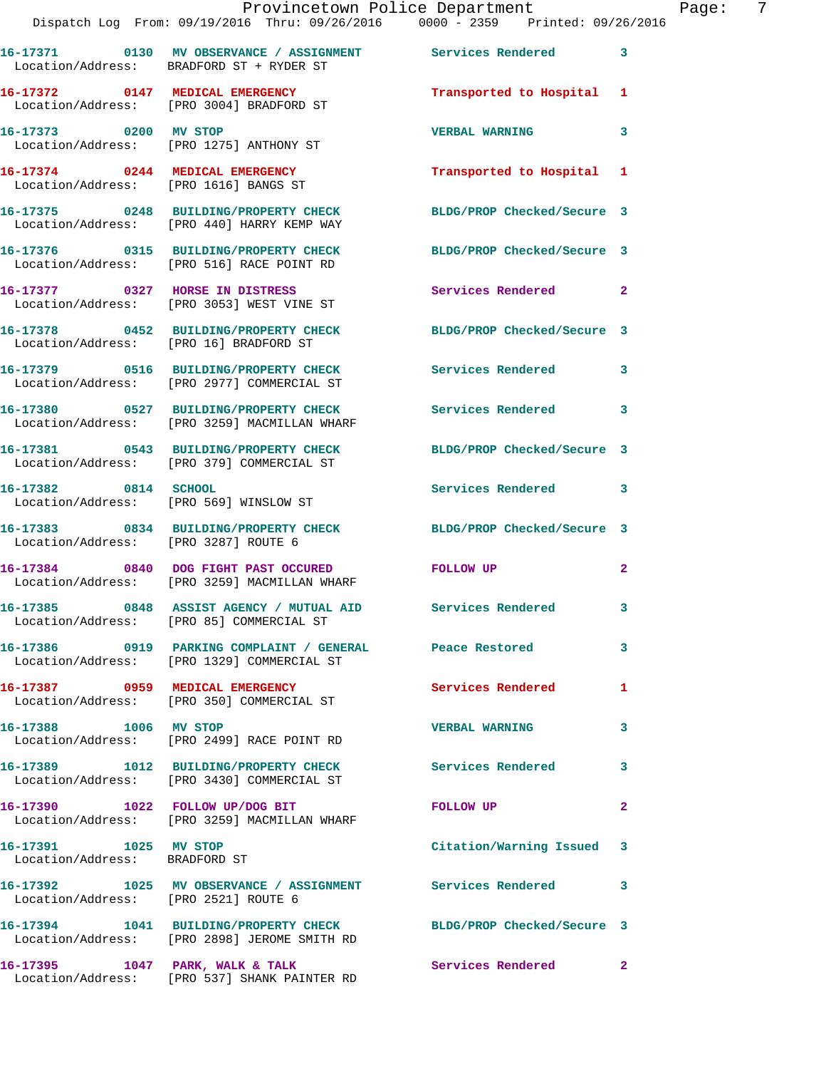|                                                        | Dispatch Log From: 09/19/2016 Thru: 09/26/2016   0000 - 2359   Printed: 09/26/2016                               | Provincetown Police Department Fage: 7 |                |
|--------------------------------------------------------|------------------------------------------------------------------------------------------------------------------|----------------------------------------|----------------|
|                                                        | 16-17371 0130 MV OBSERVANCE / ASSIGNMENT Services Rendered 3<br>Location/Address: BRADFORD ST + RYDER ST         |                                        |                |
|                                                        | 16-17372 0147 MEDICAL EMERGENCY<br>Location/Address: [PRO 3004] BRADFORD ST                                      | Transported to Hospital 1              |                |
|                                                        |                                                                                                                  | <b>VERBAL WARNING</b>                  | 3              |
|                                                        | 16-17374 0244 MEDICAL EMERGENCY<br>Location/Address: [PRO 1616] BANGS ST                                         | Transported to Hospital 1              |                |
|                                                        | 16-17375 0248 BUILDING/PROPERTY CHECK BLDG/PROP Checked/Secure 3<br>Location/Address: [PRO 440] HARRY KEMP WAY   |                                        |                |
|                                                        | 16-17376 0315 BUILDING/PROPERTY CHECK BLDG/PROP Checked/Secure 3<br>Location/Address: [PRO 516] RACE POINT RD    |                                        |                |
|                                                        | 16-17377 0327 HORSE IN DISTRESS<br>Location/Address: [PRO 3053] WEST VINE ST                                     | Services Rendered 2                    |                |
|                                                        | 16-17378 0452 BUILDING/PROPERTY CHECK BLDG/PROP Checked/Secure 3<br>Location/Address: [PRO 16] BRADFORD ST       |                                        |                |
|                                                        | 16-17379 0516 BUILDING/PROPERTY CHECK Services Rendered 3<br>Location/Address: [PRO 2977] COMMERCIAL ST          |                                        |                |
|                                                        | 16-17380 0527 BUILDING/PROPERTY CHECK Services Rendered<br>Location/Address: [PRO 3259] MACMILLAN WHARF          |                                        | 3              |
|                                                        | 16-17381 0543 BUILDING/PROPERTY CHECK BLDG/PROP Checked/Secure 3<br>Location/Address: [PRO 379] COMMERCIAL ST    |                                        |                |
|                                                        | 16-17382 0814 SCHOOL<br>Location/Address: [PRO 569] WINSLOW ST                                                   | Services Rendered 3                    |                |
| Location/Address: [PRO 3287] ROUTE 6                   | 16-17383 0834 BUILDING/PROPERTY CHECK BLDG/PROP Checked/Secure 3                                                 |                                        |                |
|                                                        | 16-17384 0840 DOG FIGHT PAST OCCURED FOLLOW UP<br>Location/Address: [PRO 3259] MACMILLAN WHARF                   |                                        | 2              |
|                                                        | 16-17385 0848 ASSIST AGENCY / MUTUAL AID Services Rendered<br>Location/Address: [PRO 85] COMMERCIAL ST           |                                        |                |
|                                                        | Location/Address: [PRO 1329] COMMERCIAL ST                                                                       |                                        | 3              |
|                                                        | 16-17387 0959 MEDICAL EMERGENCY<br>Location/Address: [PRO 350] COMMERCIAL ST                                     | <b>Services Rendered</b> 1             |                |
|                                                        | 16-17388 1006 MV STOP<br>Location/Address: [PRO 2499] RACE POINT RD                                              | <b>VERBAL WARNING</b>                  | 3              |
|                                                        | 16-17389 1012 BUILDING/PROPERTY CHECK Services Rendered 3<br>Location/Address: [PRO 3430] COMMERCIAL ST          |                                        |                |
|                                                        | 16-17390 1022 FOLLOW UP/DOG BIT<br>Location/Address: [PRO 3259] MACMILLAN WHARF                                  | FOLLOW UP                              | $\overline{2}$ |
| 16-17391 1025 MV STOP<br>Location/Address: BRADFORD ST |                                                                                                                  | Citation/Warning Issued 3              |                |
| Location/Address: [PRO 2521] ROUTE 6                   | 16-17392 1025 MV OBSERVANCE / ASSIGNMENT Services Rendered                                                       |                                        | 3              |
|                                                        | 16-17394 1041 BUILDING/PROPERTY CHECK BLDG/PROP Checked/Secure 3<br>Location/Address: [PRO 2898] JEROME SMITH RD |                                        |                |
|                                                        | 16-17395 1047 PARK, WALK & TALK<br>Location/Address: [PRO 537] SHANK PAINTER RD                                  | Services Rendered 2                    |                |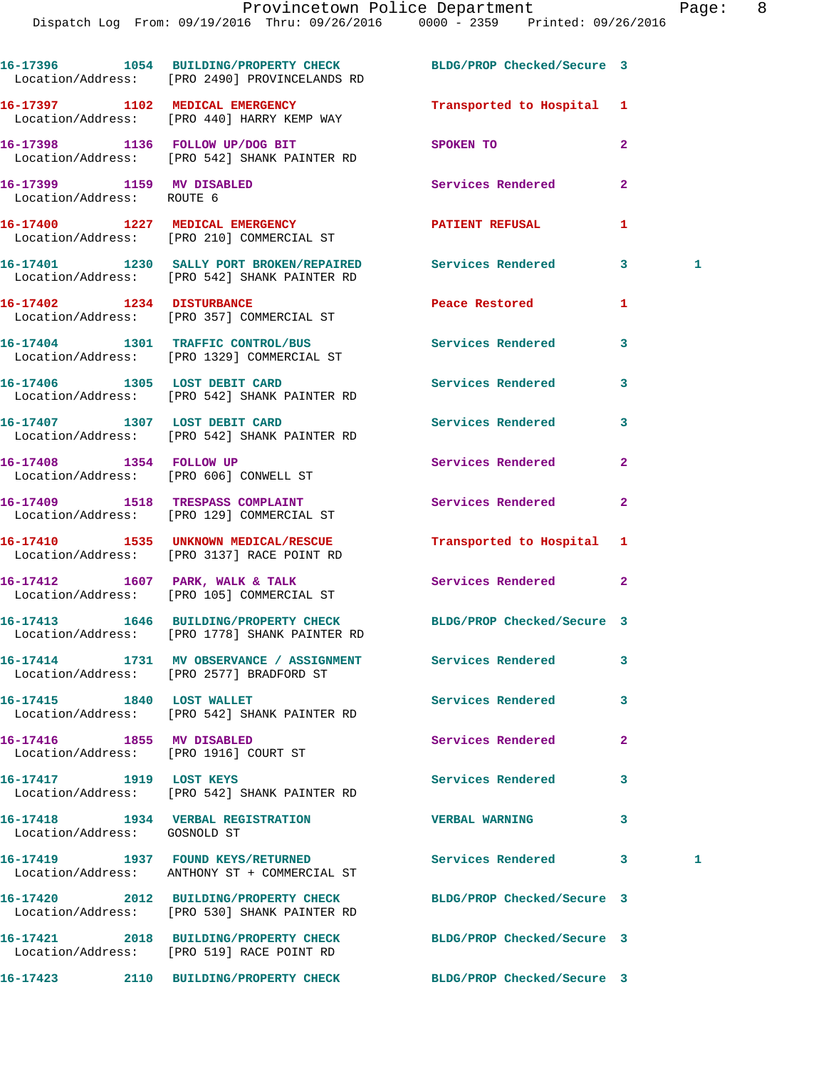|                                                        | 16-17396 1054 BUILDING/PROPERTY CHECK BLDG/PROP Checked/Secure 3                                                  |                            |                |   |
|--------------------------------------------------------|-------------------------------------------------------------------------------------------------------------------|----------------------------|----------------|---|
|                                                        | Location/Address: [PRO 2490] PROVINCELANDS RD                                                                     |                            |                |   |
|                                                        | 16-17397 1102 MEDICAL EMERGENCY<br>Location/Address: [PRO 440] HARRY KEMP WAY                                     | Transported to Hospital 1  |                |   |
|                                                        | 16-17398 1136 FOLLOW UP/DOG BIT<br>Location/Address: [PRO 542] SHANK PAINTER RD                                   | SPOKEN TO                  | $\overline{a}$ |   |
| 16-17399 1159 MV DISABLED<br>Location/Address: ROUTE 6 |                                                                                                                   | Services Rendered          | $\mathbf{2}$   |   |
|                                                        | 16-17400 1227 MEDICAL EMERGENCY<br>Location/Address: [PRO 210] COMMERCIAL ST                                      | <b>PATIENT REFUSAL</b>     | 1              |   |
|                                                        | 16-17401 1230 SALLY PORT BROKEN/REPAIRED Services Rendered<br>Location/Address: [PRO 542] SHANK PAINTER RD        |                            | 3              | 1 |
|                                                        | 16-17402 1234 DISTURBANCE<br>Location/Address: [PRO 357] COMMERCIAL ST                                            | Peace Restored             | 1              |   |
|                                                        | 16-17404 1301 TRAFFIC CONTROL/BUS<br>Location/Address: [PRO 1329] COMMERCIAL ST                                   | Services Rendered          | 3              |   |
|                                                        | 16-17406 1305 LOST DEBIT CARD<br>Location/Address: [PRO 542] SHANK PAINTER RD                                     | Services Rendered          | 3              |   |
|                                                        | 16-17407 1307 LOST DEBIT CARD<br>Location/Address: [PRO 542] SHANK PAINTER RD                                     | Services Rendered          | 3              |   |
|                                                        | 16-17408 1354 FOLLOW UP<br>Location/Address: [PRO 606] CONWELL ST                                                 | Services Rendered          | $\mathbf{2}$   |   |
|                                                        | 16-17409 1518 TRESPASS COMPLAINT<br>Location/Address: [PRO 129] COMMERCIAL ST                                     | Services Rendered          | $\mathbf{2}$   |   |
|                                                        | 16-17410 1535 UNKNOWN MEDICAL/RESCUE<br>Location/Address: [PRO 3137] RACE POINT RD                                | Transported to Hospital    | 1              |   |
|                                                        | 16-17412 1607 PARK, WALK & TALK<br>Location/Address: [PRO 105] COMMERCIAL ST                                      | Services Rendered          | $\mathbf{2}$   |   |
|                                                        | 16-17413 1646 BUILDING/PROPERTY CHECK BLDG/PROP Checked/Secure 3<br>Location/Address: [PRO 1778] SHANK PAINTER RD |                            |                |   |
|                                                        | 16-17414 1731 MV OBSERVANCE / ASSIGNMENT Services Rendered<br>Location/Address: [PRO 2577] BRADFORD ST            |                            | $\mathbf{3}$   |   |
| 16-17415 1840 LOST WALLET                              | Location/Address: [PRO 542] SHANK PAINTER RD                                                                      | Services Rendered          | 3              |   |
| 16-17416 1855 MV DISABLED                              | Location/Address: [PRO 1916] COURT ST                                                                             | Services Rendered          | 2              |   |
| 16-17417 1919 LOST KEYS                                | Location/Address: [PRO 542] SHANK PAINTER RD                                                                      | Services Rendered          | 3              |   |
| Location/Address: GOSNOLD ST                           | 16-17418 1934 VERBAL REGISTRATION                                                                                 | <b>VERBAL WARNING</b>      | 3              |   |
|                                                        | 16-17419 1937 FOUND KEYS/RETURNED<br>Location/Address: ANTHONY ST + COMMERCIAL ST                                 | <b>Services Rendered</b>   | 3              | 1 |
|                                                        | 16-17420 2012 BUILDING/PROPERTY CHECK BLDG/PROP Checked/Secure 3<br>Location/Address: [PRO 530] SHANK PAINTER RD  |                            |                |   |
|                                                        | 16-17421 2018 BUILDING/PROPERTY CHECK<br>Location/Address: [PRO 519] RACE POINT RD                                | BLDG/PROP Checked/Secure 3 |                |   |
|                                                        | 16-17423 2110 BUILDING/PROPERTY CHECK                                                                             | BLDG/PROP Checked/Secure 3 |                |   |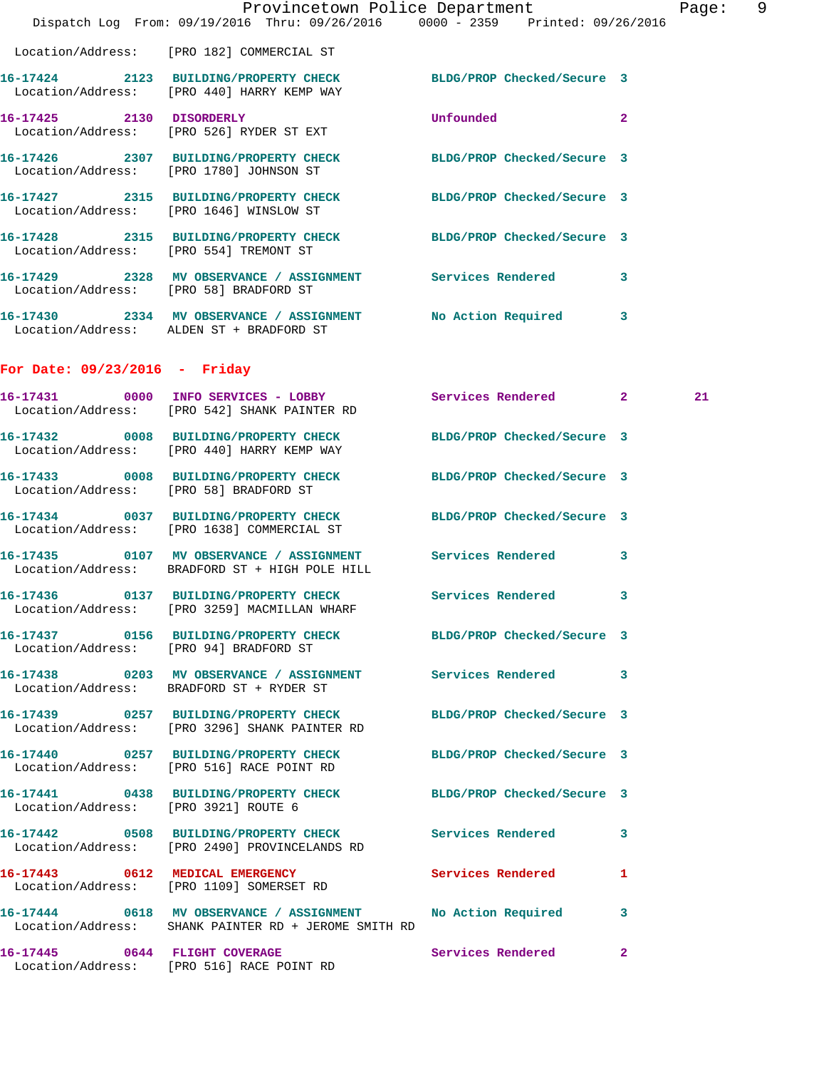|                                      | Dispatch Log From: 09/19/2016 Thru: 09/26/2016 0000 - 2359 Printed: 09/26/2016                                        | Provincetown Police Department |              | Page: 9 |  |
|--------------------------------------|-----------------------------------------------------------------------------------------------------------------------|--------------------------------|--------------|---------|--|
|                                      | Location/Address: [PRO 182] COMMERCIAL ST                                                                             |                                |              |         |  |
|                                      | 16-17424 2123 BUILDING/PROPERTY CHECK BLDG/PROP Checked/Secure 3<br>Location/Address: [PRO 440] HARRY KEMP WAY        |                                |              |         |  |
|                                      | 16-17425 2130 DISORDERLY<br>Location/Address: [PRO 526] RYDER ST EXT                                                  | <b>Unfounded</b>               | $\mathbf{2}$ |         |  |
|                                      | 16-17426 2307 BUILDING/PROPERTY CHECK BLDG/PROP Checked/Secure 3<br>Location/Address: [PRO 1780] JOHNSON ST           |                                |              |         |  |
|                                      | 16-17427 2315 BUILDING/PROPERTY CHECK BLDG/PROP Checked/Secure 3<br>Location/Address: [PRO 1646] WINSLOW ST           |                                |              |         |  |
|                                      | 16-17428 2315 BUILDING/PROPERTY CHECK BLDG/PROP Checked/Secure 3<br>Location/Address: [PRO 554] TREMONT ST            |                                |              |         |  |
|                                      | 16-17429 2328 MV OBSERVANCE / ASSIGNMENT Services Rendered<br>Location/Address: [PRO 58] BRADFORD ST                  |                                | $\mathbf{3}$ |         |  |
|                                      | 16-17430 2334 MV OBSERVANCE / ASSIGNMENT No Action Required 3<br>Location/Address: ALDEN ST + BRADFORD ST             |                                |              |         |  |
| For Date: $09/23/2016$ - Friday      |                                                                                                                       |                                |              |         |  |
|                                      | 16-17431 0000 INFO SERVICES - LOBBY Services Rendered 2<br>Location/Address: [PRO 542] SHANK PAINTER RD               |                                |              | 21      |  |
|                                      | 16-17432 0008 BUILDING/PROPERTY CHECK BLDG/PROP Checked/Secure 3<br>Location/Address: [PRO 440] HARRY KEMP WAY        |                                |              |         |  |
|                                      | 16-17433 0008 BUILDING/PROPERTY CHECK BLDG/PROP Checked/Secure 3<br>Location/Address: [PRO 58] BRADFORD ST            |                                |              |         |  |
|                                      | 16-17434 0037 BUILDING/PROPERTY CHECK BLDG/PROP Checked/Secure 3<br>Location/Address: [PRO 1638] COMMERCIAL ST        |                                |              |         |  |
|                                      | 16-17435 0107 MV OBSERVANCE / ASSIGNMENT Services Rendered<br>Location/Address: BRADFORD ST + HIGH POLE HILL          |                                | 3            |         |  |
|                                      | 16-17436 0137 BUILDING/PROPERTY CHECK Services Rendered 3<br>Location/Address: [PRO 3259] MACMILLAN WHARF             |                                |              |         |  |
|                                      | 16-17437 0156 BUILDING/PROPERTY CHECK BLDG/PROP Checked/Secure 3<br>Location/Address: [PRO 94] BRADFORD ST            |                                |              |         |  |
|                                      | 16-17438 6203 MV OBSERVANCE / ASSIGNMENT Services Rendered 3<br>Location/Address: BRADFORD ST + RYDER ST              |                                |              |         |  |
|                                      | 16-17439 0257 BUILDING/PROPERTY CHECK BLDG/PROP Checked/Secure 3<br>Location/Address: [PRO 3296] SHANK PAINTER RD     |                                |              |         |  |
|                                      | 16-17440 0257 BUILDING/PROPERTY CHECK BLDG/PROP Checked/Secure 3<br>Location/Address: [PRO 516] RACE POINT RD         |                                |              |         |  |
| Location/Address: [PRO 3921] ROUTE 6 | 16-17441 0438 BUILDING/PROPERTY CHECK BLDG/PROP Checked/Secure 3                                                      |                                |              |         |  |
|                                      | 16-17442 0508 BUILDING/PROPERTY CHECK Services Rendered 3<br>Location/Address: [PRO 2490] PROVINCELANDS RD            |                                |              |         |  |
|                                      | 16-17443 0612 MEDICAL EMERGENCY Services Rendered 1<br>Location/Address: [PRO 1109] SOMERSET RD                       |                                |              |         |  |
|                                      | 16-17444 0618 MV OBSERVANCE / ASSIGNMENT No Action Required 3<br>Location/Address: SHANK PAINTER RD + JEROME SMITH RD |                                |              |         |  |
|                                      | 16-17445 0644 FLIGHT COVERAGE<br>Location/Address: [PRO 516] RACE POINT RD                                            | Services Rendered              | 2            |         |  |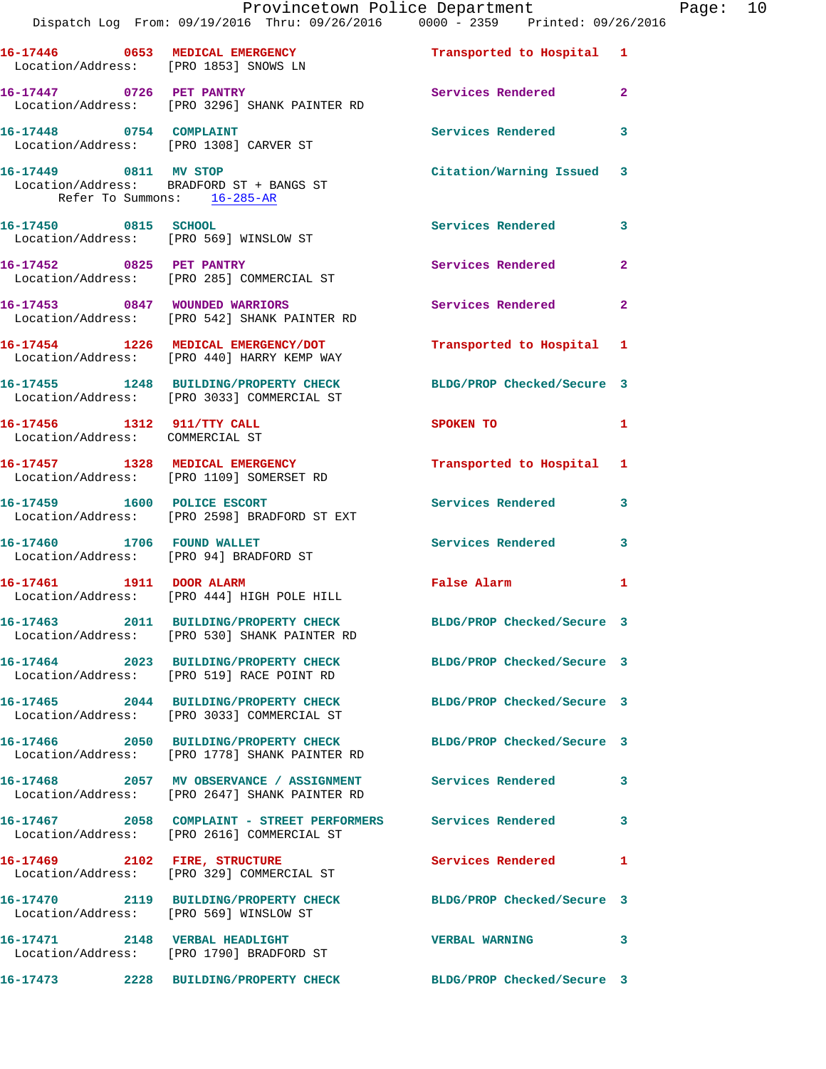|                                                      | Dispatch Log From: 09/19/2016 Thru: 09/26/2016   0000 - 2359   Printed: 09/26/2016                                   | Provincetown Police Department Page: 10 |              |  |
|------------------------------------------------------|----------------------------------------------------------------------------------------------------------------------|-----------------------------------------|--------------|--|
|                                                      | 16-17446 0653 MEDICAL EMERGENCY <b>Example 18 Transported to Hospital</b> 1<br>Location/Address: [PRO 1853] SNOWS LN |                                         |              |  |
|                                                      | 16-17447 0726 PET PANTRY<br>Location/Address: [PRO 3296] SHANK PAINTER RD                                            | Services Rendered                       | $\mathbf{2}$ |  |
|                                                      | 16-17448 0754 COMPLAINT<br>Location/Address: [PRO 1308] CARVER ST                                                    | Services Rendered                       | 3            |  |
| 16-17449 0811 MV STOP<br>Refer To Summons: 16-285-AR | Location/Address: BRADFORD ST + BANGS ST                                                                             | Citation/Warning Issued 3               |              |  |
|                                                      | 16-17450 0815 SCHOOL<br>Location/Address: [PRO 569] WINSLOW ST                                                       | Services Rendered 3                     |              |  |
|                                                      | 16-17452 0825 PET PANTRY<br>Location/Address: [PRO 285] COMMERCIAL ST                                                | Services Rendered                       | $\mathbf{2}$ |  |
|                                                      | 16-17453 0847 WOUNDED WARRIORS<br>Location/Address: [PRO 542] SHANK PAINTER RD                                       | Services Rendered 2                     |              |  |
|                                                      | 16-17454 1226 MEDICAL EMERGENCY/DOT<br>Location/Address: [PRO 440] HARRY KEMP WAY                                    | Transported to Hospital 1               |              |  |
|                                                      | 16-17455 1248 BUILDING/PROPERTY CHECK BLDG/PROP Checked/Secure 3<br>Location/Address: [PRO 3033] COMMERCIAL ST       |                                         |              |  |
| Location/Address: COMMERCIAL ST                      | 16-17456 1312 911/TTY CALL                                                                                           | SPOKEN TO AND TO A THE SPOKEN TO        | 1            |  |
|                                                      | 16-17457 1328 MEDICAL EMERGENCY<br>Location/Address: [PRO 1109] SOMERSET RD                                          | Transported to Hospital 1               |              |  |
|                                                      | 16-17459 1600 POLICE ESCORT<br>Location/Address: [PRO 2598] BRADFORD ST EXT                                          | <b>Services Rendered</b>                | $\mathbf{3}$ |  |
| 16-17460 1706 FOUND WALLET                           | Location/Address: [PRO 94] BRADFORD ST                                                                               | <b>Services Rendered</b>                | 3            |  |
|                                                      | 16-17461 1911 DOOR ALARM<br>Location/Address: [PRO 444] HIGH POLE HILL                                               | False Alarm                             | 1            |  |
|                                                      | 16-17463 2011 BUILDING/PROPERTY CHECK BLDG/PROP Checked/Secure 3<br>Location/Address: [PRO 530] SHANK PAINTER RD     |                                         |              |  |
|                                                      | 16-17464 2023 BUILDING/PROPERTY CHECK BLDG/PROP Checked/Secure 3<br>Location/Address: [PRO 519] RACE POINT RD        |                                         |              |  |
|                                                      | 16-17465 2044 BUILDING/PROPERTY CHECK BLDG/PROP Checked/Secure 3<br>Location/Address: [PRO 3033] COMMERCIAL ST       |                                         |              |  |
|                                                      | 16-17466 2050 BUILDING/PROPERTY CHECK BLDG/PROP Checked/Secure 3<br>Location/Address: [PRO 1778] SHANK PAINTER RD    |                                         |              |  |
|                                                      | 16-17468 2057 MV OBSERVANCE / ASSIGNMENT Services Rendered 3<br>Location/Address: [PRO 2647] SHANK PAINTER RD        |                                         |              |  |
|                                                      | 16-17467 2058 COMPLAINT - STREET PERFORMERS Services Rendered<br>Location/Address: [PRO 2616] COMMERCIAL ST          |                                         | 3            |  |
|                                                      | 16-17469 2102 FIRE, STRUCTURE<br>Location/Address: [PRO 329] COMMERCIAL ST                                           | Services Rendered                       | $\mathbf{1}$ |  |
|                                                      | 16-17470 2119 BUILDING/PROPERTY CHECK BLDG/PROP Checked/Secure 3<br>Location/Address: [PRO 569] WINSLOW ST           |                                         |              |  |
|                                                      | 16-17471 2148 VERBAL HEADLIGHT<br>Location/Address: [PRO 1790] BRADFORD ST                                           | <b>VERBAL WARNING</b>                   | 3            |  |
|                                                      | 16-17473 2228 BUILDING/PROPERTY CHECK                                                                                | BLDG/PROP Checked/Secure 3              |              |  |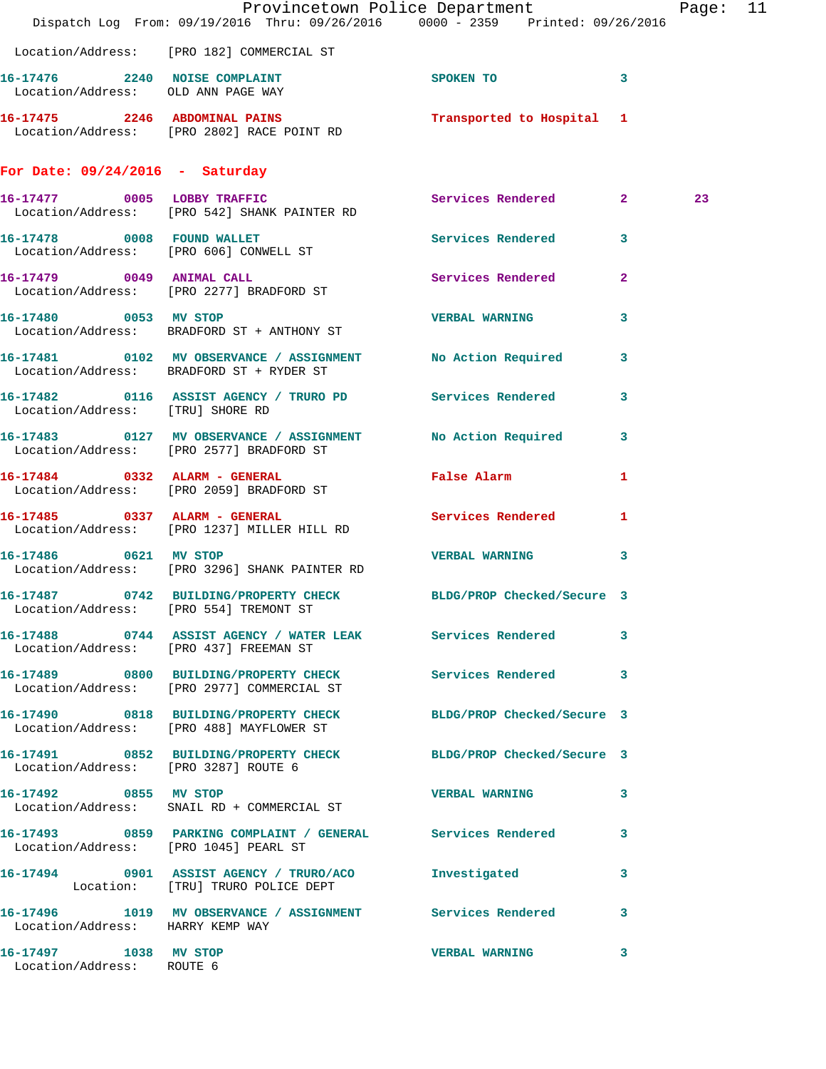|                                                    | Dispatch Log From: 09/19/2016 Thru: 09/26/2016 0000 - 2359 Printed: 09/26/2016                               | Provincetown Police Department |                         | Page: 11 |  |
|----------------------------------------------------|--------------------------------------------------------------------------------------------------------------|--------------------------------|-------------------------|----------|--|
|                                                    | Location/Address: [PRO 182] COMMERCIAL ST                                                                    |                                |                         |          |  |
|                                                    | 16-17476 2240 NOISE COMPLAINT<br>Location/Address: OLD ANN PAGE WAY                                          | SPOKEN TO                      | $\mathbf{3}$            |          |  |
|                                                    | 16-17475 2246 ABDOMINAL PAINS<br>Location/Address: [PRO 2802] RACE POINT RD                                  | Transported to Hospital 1      |                         |          |  |
| For Date: $09/24/2016$ - Saturday                  |                                                                                                              |                                |                         |          |  |
|                                                    | 16-17477 0005 LOBBY TRAFFIC<br>Location/Address: [PRO 542] SHANK PAINTER RD                                  | Services Rendered 2            |                         | 23       |  |
|                                                    | 16-17478 0008 FOUND WALLET<br>Location/Address: [PRO 606] CONWELL ST                                         | Services Rendered 3            |                         |          |  |
|                                                    | 16-17479 0049 ANIMAL CALL<br>Location/Address: [PRO 2277] BRADFORD ST                                        | Services Rendered              | $\mathbf{2}$            |          |  |
| 16-17480 0053 MV STOP                              | Location/Address: BRADFORD ST + ANTHONY ST                                                                   | <b>VERBAL WARNING</b>          | 3                       |          |  |
|                                                    | 16-17481 0102 MV OBSERVANCE / ASSIGNMENT No Action Required<br>Location/Address: BRADFORD ST + RYDER ST      |                                | $\overline{\mathbf{3}}$ |          |  |
| Location/Address: [TRU] SHORE RD                   | 16-17482 0116 ASSIST AGENCY / TRURO PD Services Rendered                                                     |                                | $\overline{\mathbf{3}}$ |          |  |
|                                                    | 16-17483 0127 MV OBSERVANCE / ASSIGNMENT No Action Required 3<br>Location/Address: [PRO 2577] BRADFORD ST    |                                |                         |          |  |
|                                                    | 16-17484 0332 ALARM - GENERAL<br>Location/Address: [PRO 2059] BRADFORD ST                                    | <b>False Alarm</b>             | 1                       |          |  |
|                                                    | 16-17485 0337 ALARM - GENERAL<br>Location/Address: [PRO 1237] MILLER HILL RD                                 | Services Rendered 1            |                         |          |  |
| 16-17486 0621 MV STOP                              | Location/Address: [PRO 3296] SHANK PAINTER RD                                                                | VERBAL WARNING 3               |                         |          |  |
|                                                    | 16-17487 0742 BUILDING/PROPERTY CHECK BLDG/PROP Checked/Secure 3<br>Location/Address: [PRO 554] TREMONT ST   |                                |                         |          |  |
|                                                    | 16-17488 0744 ASSIST AGENCY / WATER LEAK Services Rendered 3<br>Location/Address: [PRO 437] FREEMAN ST       |                                |                         |          |  |
|                                                    | 16-17489 0800 BUILDING/PROPERTY CHECK Services Rendered 3<br>Location/Address: [PRO 2977] COMMERCIAL ST      |                                |                         |          |  |
|                                                    | 16-17490 0818 BUILDING/PROPERTY CHECK BLDG/PROP Checked/Secure 3<br>Location/Address: [PRO 488] MAYFLOWER ST |                                |                         |          |  |
| Location/Address: [PRO 3287] ROUTE 6               | 16-17491 0852 BUILDING/PROPERTY CHECK BLDG/PROP Checked/Secure 3                                             |                                |                         |          |  |
|                                                    | 16-17492 0855 MV STOP<br>Location/Address: SNAIL RD + COMMERCIAL ST                                          | <b>VERBAL WARNING</b>          | 3                       |          |  |
| Location/Address: [PRO 1045] PEARL ST              | 16-17493 0859 PARKING COMPLAINT / GENERAL Services Rendered 3                                                |                                |                         |          |  |
|                                                    | 16-17494 0901 ASSIST AGENCY / TRURO/ACO Investigated<br>Location: [TRU] TRURO POLICE DEPT                    |                                | $\mathbf{3}$            |          |  |
| Location/Address: HARRY KEMP WAY                   | 16-17496 1019 MV OBSERVANCE / ASSIGNMENT Services Rendered 3                                                 |                                |                         |          |  |
| 16-17497 1038 MV STOP<br>Location/Address: ROUTE 6 |                                                                                                              | <b>VERBAL WARNING</b>          | 3                       |          |  |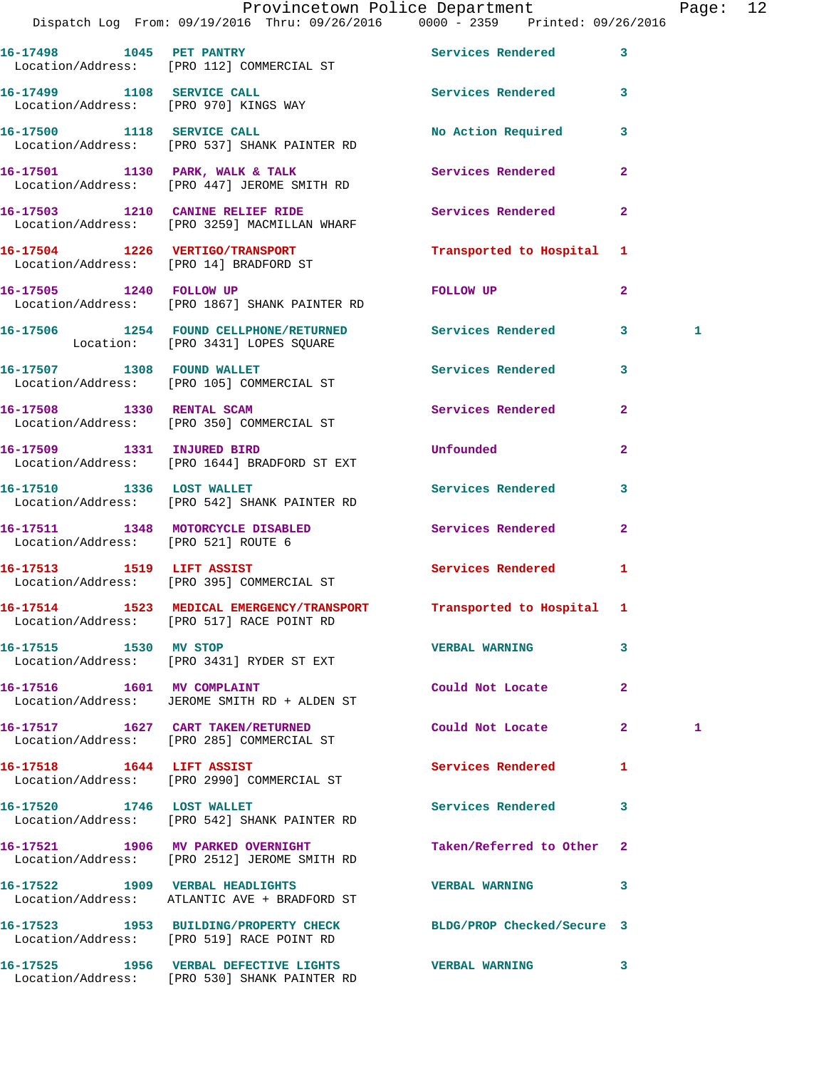|                                     | Provincetown Police Department Fage: 12<br>Dispatch Log From: 09/19/2016 Thru: 09/26/2016   0000 - 2359   Printed: 09/26/2016 |                           |                |   |  |
|-------------------------------------|-------------------------------------------------------------------------------------------------------------------------------|---------------------------|----------------|---|--|
|                                     | 16-17498 1045 PET PANTRY<br>Location/Address: [PRO 112] COMMERCIAL ST                                                         | Services Rendered         | $\mathbf{3}$   |   |  |
|                                     | 16-17499 1108 SERVICE CALL<br>Location/Address: [PRO 970] KINGS WAY                                                           | Services Rendered 3       |                |   |  |
|                                     | 16-17500 1118 SERVICE CALL<br>Location/Address: [PRO 537] SHANK PAINTER RD                                                    | No Action Required 3      |                |   |  |
|                                     | 16-17501 1130 PARK, WALK & TALK<br>Location/Address: [PRO 447] JEROME SMITH RD                                                | Services Rendered         | $\mathbf{2}$   |   |  |
|                                     | 16-17503 1210 CANINE RELIEF RIDE<br>Location/Address: [PRO 3259] MACMILLAN WHARF                                              | Services Rendered         | $\mathbf{2}$   |   |  |
|                                     | 16-17504 1226 VERTIGO/TRANSPORT<br>Location/Address: [PRO 14] BRADFORD ST                                                     | Transported to Hospital 1 |                |   |  |
|                                     | 16-17505 1240 FOLLOW UP<br>Location/Address: [PRO 1867] SHANK PAINTER RD                                                      | FOLLOW UP                 | $\mathbf{2}$   |   |  |
|                                     | 16-17506 1254 FOUND CELLPHONE/RETURNED Services Rendered<br>Location: [PRO 3431] LOPES SQUARE                                 |                           | $3^{\circ}$    | 1 |  |
|                                     | 16-17507 1308 FOUND WALLET<br>Location/Address: [PRO 105] COMMERCIAL ST                                                       | Services Rendered 3       |                |   |  |
|                                     | 16-17508 1330 RENTAL SCAM<br>Location/Address: [PRO 350] COMMERCIAL ST                                                        | Services Rendered         | $\mathbf{2}$   |   |  |
| 16-17509 1331 INJURED BIRD          | Location/Address: [PRO 1644] BRADFORD ST EXT                                                                                  | <b>Unfounded</b>          | $\overline{2}$ |   |  |
|                                     | 16-17510 1336 LOST WALLET<br>Location/Address: [PRO 542] SHANK PAINTER RD                                                     | Services Rendered         | 3              |   |  |
| Location/Address: [PRO 521] ROUTE 6 | 16-17511 1348 MOTORCYCLE DISABLED Services Rendered                                                                           |                           | $\mathbf{2}$   |   |  |
|                                     | 16-17513 1519 LIFT ASSIST<br>Location/Address: [PRO 395] COMMERCIAL ST                                                        | Services Rendered 1       |                |   |  |
|                                     | 16-17514 1523 MEDICAL EMERGENCY/TRANSPORT Transported to Hospital 1<br>Location/Address: [PRO 517] RACE POINT RD              |                           |                |   |  |
| 16-17515 1530 MV STOP               | Location/Address: [PRO 3431] RYDER ST EXT                                                                                     | <b>VERBAL WARNING</b>     | 3              |   |  |
| 16-17516   1601 MV COMPLAINT        | Location/Address: JEROME SMITH RD + ALDEN ST                                                                                  | Could Not Locate          | $\mathbf{2}$   |   |  |
|                                     | 16-17517 1627 CART TAKEN/RETURNED<br>Location/Address: [PRO 285] COMMERCIAL ST                                                | Could Not Locate          | $\mathbf{2}$   | 1 |  |
| 16-17518    1644    LIFT ASSIST     | Location/Address: [PRO 2990] COMMERCIAL ST                                                                                    | Services Rendered 1       |                |   |  |
|                                     | 16-17520 1746 LOST WALLET<br>Location/Address: [PRO 542] SHANK PAINTER RD                                                     | Services Rendered         | 3              |   |  |
|                                     | 16-17521 1906 MV PARKED OVERNIGHT<br>Location/Address: [PRO 2512] JEROME SMITH RD                                             | Taken/Referred to Other 2 |                |   |  |
|                                     | 16-17522 1909 VERBAL HEADLIGHTS<br>Location/Address: ATLANTIC AVE + BRADFORD ST                                               | <b>VERBAL WARNING</b>     | 3              |   |  |
|                                     | 16-17523 1953 BUILDING/PROPERTY CHECK BLDG/PROP Checked/Secure 3<br>Location/Address: [PRO 519] RACE POINT RD                 |                           |                |   |  |
|                                     | 16-17525 1956 VERBAL DEFECTIVE LIGHTS VERBAL WARNING 3                                                                        |                           |                |   |  |

Location/Address: [PRO 530] SHANK PAINTER RD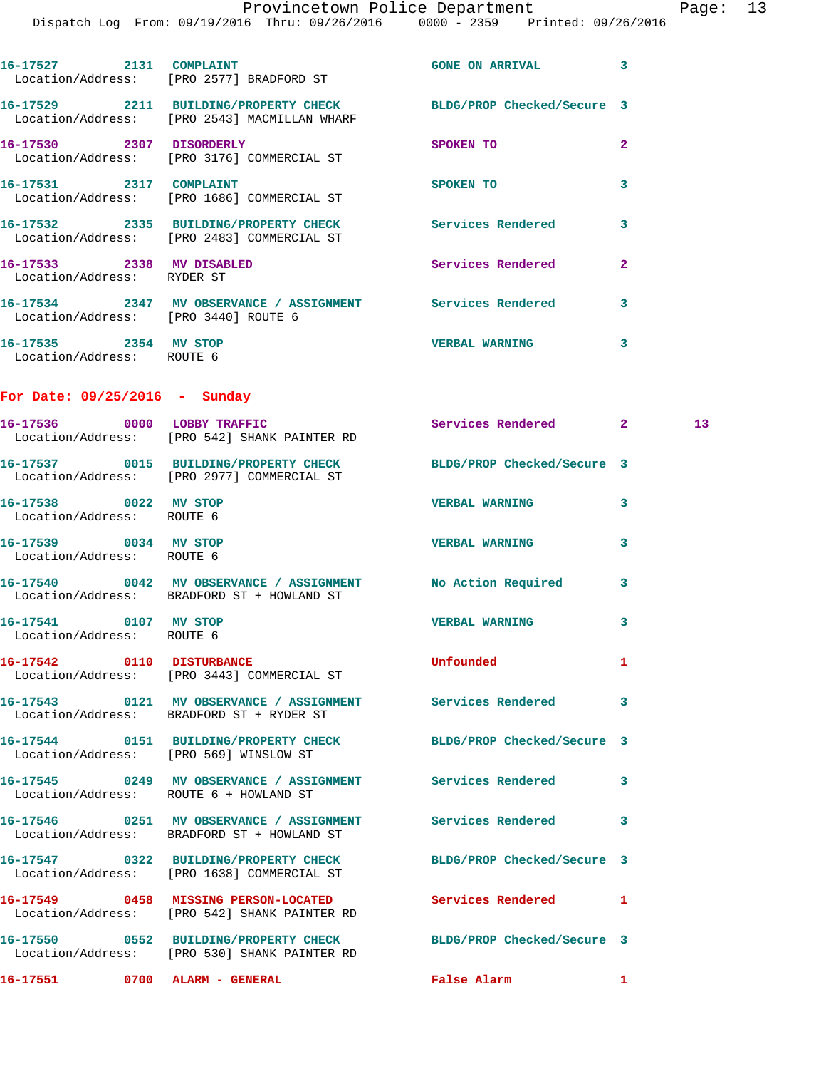$Page: 13$ <br> $16/2016$ 

|  |                                                         | Provincetown Police Department | Dispatch Log From: 09/19/2016 Thru: 09/26/2016 0000 - 2359 Printed: 09/26/2016 |                | Page |
|--|---------------------------------------------------------|--------------------------------|--------------------------------------------------------------------------------|----------------|------|
|  |                                                         |                                |                                                                                |                |      |
|  |                                                         |                                |                                                                                |                |      |
|  | 16-17527 2131 COMPLAINT                                 |                                | GONE ON ARRIVAL 3                                                              |                |      |
|  | Location/Address: [PRO 2577] BRADFORD ST                |                                |                                                                                |                |      |
|  |                                                         |                                | 16-17529 2211 BUILDING/PROPERTY CHECK BLDG/PROP Checked/Secure 3               |                |      |
|  | Location/Address: [PRO 2543] MACMILLAN WHARF            |                                |                                                                                |                |      |
|  | 16-17530 2307 DISORDERLY                                |                                |                                                                                |                |      |
|  | Location/Address: [PRO 3176] COMMERCIAL ST              |                                | <b>SPOKEN TO</b>                                                               | $\overline{a}$ |      |
|  |                                                         |                                |                                                                                |                |      |
|  | 16-17531 2317 COMPLAINT                                 |                                | <b>SPOKEN TO</b>                                                               | 3              |      |
|  | Location/Address: [PRO 1686] COMMERCIAL ST              |                                |                                                                                |                |      |
|  | 16-17532 2335 BUILDING/PROPERTY CHECK                   |                                | Services Rendered                                                              | 3              |      |
|  | Location/Address: [PRO 2483] COMMERCIAL ST              |                                |                                                                                |                |      |
|  |                                                         |                                |                                                                                |                |      |
|  | 16-17533 2338 MV DISABLED<br>Location/Address: RYDER ST |                                | Services Rendered                                                              | $\overline{a}$ |      |
|  |                                                         |                                |                                                                                |                |      |
|  |                                                         |                                | 16-17534 2347 MV OBSERVANCE / ASSIGNMENT Services Rendered                     | 3              |      |
|  | Location/Address: [PRO 3440] ROUTE 6                    |                                |                                                                                |                |      |
|  | 16-17535 2354 MV STOP                                   |                                | <b>VERBAL WARNING</b>                                                          | 3              |      |
|  | Location/Address: ROUTE 6                               |                                |                                                                                |                |      |
|  |                                                         |                                |                                                                                |                |      |
|  |                                                         |                                |                                                                                |                |      |
|  | For Date: $09/25/2016$ - Sunday                         |                                |                                                                                |                |      |
|  | 16-17536 0000 LOBBY TRAFFIC                             |                                | Services Rendered 2                                                            |                | 13   |
|  | Location/Address: [PRO 542] SHANK PAINTER RD            |                                |                                                                                |                |      |
|  |                                                         |                                |                                                                                |                |      |
|  | Location/Address: [PRO 2977] COMMERCIAL ST              |                                | 16-17537 0015 BUILDING/PROPERTY CHECK BLDG/PROP Checked/Secure 3               |                |      |
|  |                                                         |                                |                                                                                |                |      |
|  | 16-17538 0022 MV STOP                                   |                                | <b>VERBAL WARNING</b>                                                          | 3              |      |
|  | Location/Address: ROUTE 6                               |                                |                                                                                |                |      |
|  | 16-17539 0034 MV STOP                                   |                                | <b>VERBAL WARNING</b>                                                          | 3              |      |
|  | Location/Address: ROUTE 6                               |                                |                                                                                |                |      |
|  |                                                         |                                |                                                                                |                |      |
|  | Location/Address: BRADFORD ST + HOWLAND ST              |                                | 16-17540 0042 MV OBSERVANCE / ASSIGNMENT No Action Required                    | 3              |      |
|  |                                                         |                                |                                                                                |                |      |
|  | 16-17541 0107 MV STOP                                   |                                | <b>VERBAL WARNING</b>                                                          | 3              |      |
|  | Location/Address: ROUTE 6                               |                                |                                                                                |                |      |
|  | 16-17542 0110 DISTURBANCE                               |                                | Unfounded                                                                      | 1              |      |
|  | Location/Address: [PRO 3443] COMMERCIAL ST              |                                |                                                                                |                |      |
|  |                                                         |                                |                                                                                |                |      |
|  | Location/Address: BRADFORD ST + RYDER ST                |                                | 16-17543 0121 MV OBSERVANCE / ASSIGNMENT Services Rendered                     | 3              |      |
|  |                                                         |                                |                                                                                |                |      |
|  |                                                         |                                | 16-17544 0151 BUILDING/PROPERTY CHECK BLDG/PROP Checked/Secure 3               |                |      |
|  | Location/Address: [PRO 569] WINSLOW ST                  |                                |                                                                                |                |      |
|  |                                                         |                                | 16-17545 0249 MV OBSERVANCE / ASSIGNMENT Services Rendered                     | 3              |      |
|  | Location/Address: ROUTE 6 + HOWLAND ST                  |                                |                                                                                |                |      |
|  |                                                         |                                |                                                                                |                |      |
|  |                                                         |                                | 16-17546 0251 MV OBSERVANCE / ASSIGNMENT Services Rendered                     | 3              |      |
|  | Location/Address: BRADFORD ST + HOWLAND ST              |                                |                                                                                |                |      |
|  |                                                         |                                | 16-17547 0322 BUILDING/PROPERTY CHECK BLDG/PROP Checked/Secure 3               |                |      |
|  | Location/Address: [PRO 1638] COMMERCIAL ST              |                                |                                                                                |                |      |
|  |                                                         |                                | 16-17549 0458 MISSING PERSON-LOCATED Services Rendered 1                       |                |      |
|  | Location/Address: [PRO 542] SHANK PAINTER RD            |                                |                                                                                |                |      |
|  |                                                         |                                |                                                                                |                |      |

**16-17550 0552 BUILDING/PROPERTY CHECK BLDG/PROP Checked/Secure 3**  Location/Address: [PRO 530] SHANK PAINTER RD

**16-17551 0700 ALARM - GENERAL False Alarm 1**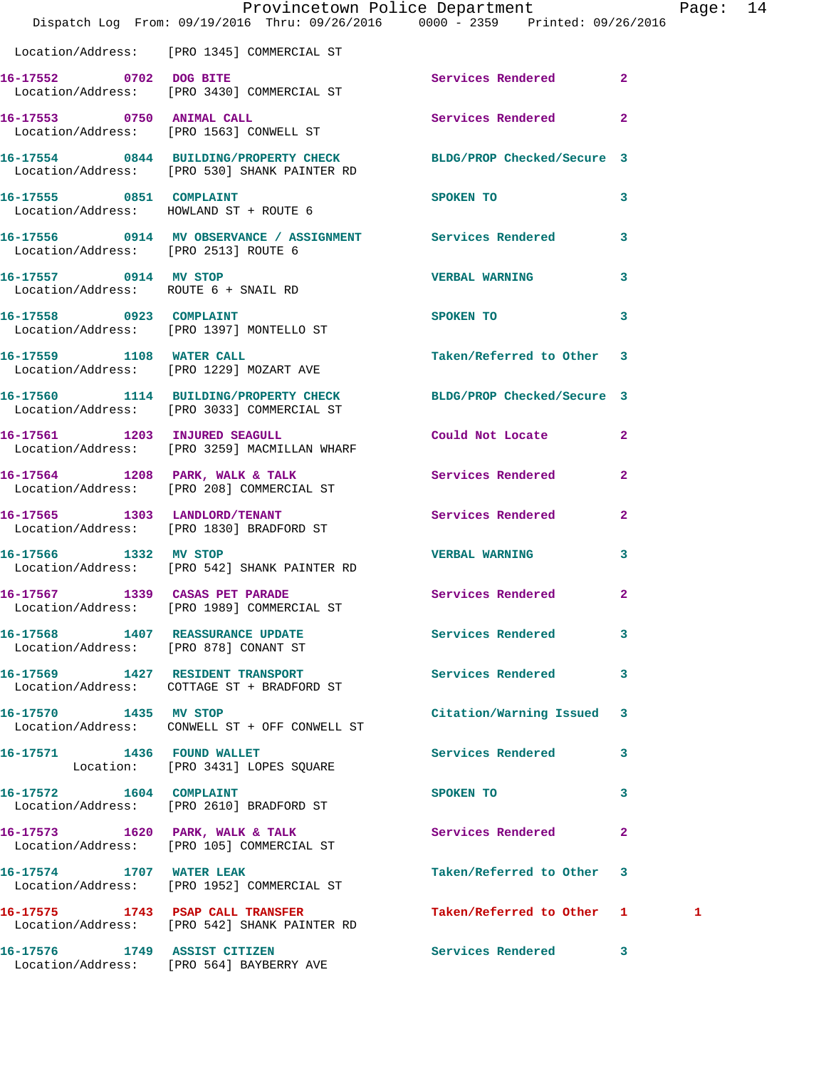|                                                               | Dispatch Log From: 09/19/2016 Thru: 09/26/2016   0000 - 2359   Printed: 09/26/2016                               | Provincetown Police Department    |                            | Page: 14 |  |
|---------------------------------------------------------------|------------------------------------------------------------------------------------------------------------------|-----------------------------------|----------------------------|----------|--|
|                                                               | Location/Address: [PRO 1345] COMMERCIAL ST                                                                       |                                   |                            |          |  |
| 16-17552 0702 DOG BITE                                        | Location/Address: [PRO 3430] COMMERCIAL ST                                                                       | Services Rendered 2               |                            |          |  |
|                                                               | 16-17553 0750 ANIMAL CALL<br>Location/Address: [PRO 1563] CONWELL ST                                             | Services Rendered 2               |                            |          |  |
|                                                               | 16-17554 0844 BUILDING/PROPERTY CHECK BLDG/PROP Checked/Secure 3<br>Location/Address: [PRO 530] SHANK PAINTER RD |                                   |                            |          |  |
|                                                               | 16-17555 0851 COMPLAINT<br>Location/Address: HOWLAND ST + ROUTE 6                                                | SPOKEN TO                         | $\overline{\phantom{a}}$ 3 |          |  |
| Location/Address: [PRO 2513] ROUTE 6                          | 16-17556 0914 MV OBSERVANCE / ASSIGNMENT Services Rendered 3                                                     |                                   |                            |          |  |
| 16-17557 0914 MV STOP<br>Location/Address: ROUTE 6 + SNAIL RD |                                                                                                                  | <b>VERBAL WARNING</b>             | $\mathbf{3}$               |          |  |
| 16-17558 0923 COMPLAINT                                       | Location/Address: [PRO 1397] MONTELLO ST                                                                         | SPOKEN TO AND TO A REAL PROPERTY. | $\mathbf{3}$               |          |  |
|                                                               | 16-17559 1108 WATER CALL<br>Location/Address: [PRO 1229] MOZART AVE                                              | Taken/Referred to Other 3         |                            |          |  |
|                                                               | 16-17560 1114 BUILDING/PROPERTY CHECK BLDG/PROP Checked/Secure 3<br>Location/Address: [PRO 3033] COMMERCIAL ST   |                                   |                            |          |  |
|                                                               | 16-17561 1203 INJURED SEAGULL<br>Location/Address: [PRO 3259] MACMILLAN WHARF                                    | Could Not Locate 2                |                            |          |  |
|                                                               | 16-17564 1208 PARK, WALK & TALK<br>Location/Address: [PRO 208] COMMERCIAL ST                                     | Services Rendered                 | $\overline{2}$             |          |  |
|                                                               | 16-17565 1303 LANDLORD/TENANT<br>Location/Address: [PRO 1830] BRADFORD ST                                        | Services Rendered 2               |                            |          |  |
| 16-17566 1332 MV STOP                                         | Location/Address: [PRO 542] SHANK PAINTER RD                                                                     | <b>VERBAL WARNING</b>             | 3                          |          |  |
| 16-17567 1339 CASAS PET PARADE                                | Location/Address: [PRO 1989] COMMERCIAL ST                                                                       | Services Rendered 2               |                            |          |  |
|                                                               | 16-17568 1407 REASSURANCE UPDATE Services Rendered 3<br>Location/Address: [PRO 878] CONANT ST                    |                                   |                            |          |  |
|                                                               | 16-17569 1427 RESIDENT TRANSPORT<br>Location/Address: COTTAGE ST + BRADFORD ST                                   | Services Rendered 3               |                            |          |  |
| 16-17570 1435 MV STOP                                         | Location/Address: CONWELL ST + OFF CONWELL ST                                                                    | Citation/Warning Issued 3         |                            |          |  |
|                                                               | 16-17571 1436 FOUND WALLET<br>Location: [PRO 3431] LOPES SQUARE                                                  | Services Rendered 3               |                            |          |  |
| 16-17572 1604 COMPLAINT                                       | Location/Address: [PRO 2610] BRADFORD ST                                                                         | SPOKEN TO                         | 3                          |          |  |
|                                                               | 16-17573 1620 PARK, WALK & TALK<br>Location/Address: [PRO 105] COMMERCIAL ST                                     | Services Rendered                 | $\mathbf{2}$               |          |  |
| 16-17574 1707 WATER LEAK                                      | Location/Address: [PRO 1952] COMMERCIAL ST                                                                       | Taken/Referred to Other 3         |                            |          |  |
|                                                               | 16-17575 1743 PSAP CALL TRANSFER<br>Location/Address: [PRO 542] SHANK PAINTER RD                                 | Taken/Referred to Other 1         |                            | 1        |  |
| 16-17576 1749 ASSIST CITIZEN                                  | Location/Address: [PRO 564] BAYBERRY AVE                                                                         | Services Rendered 3               |                            |          |  |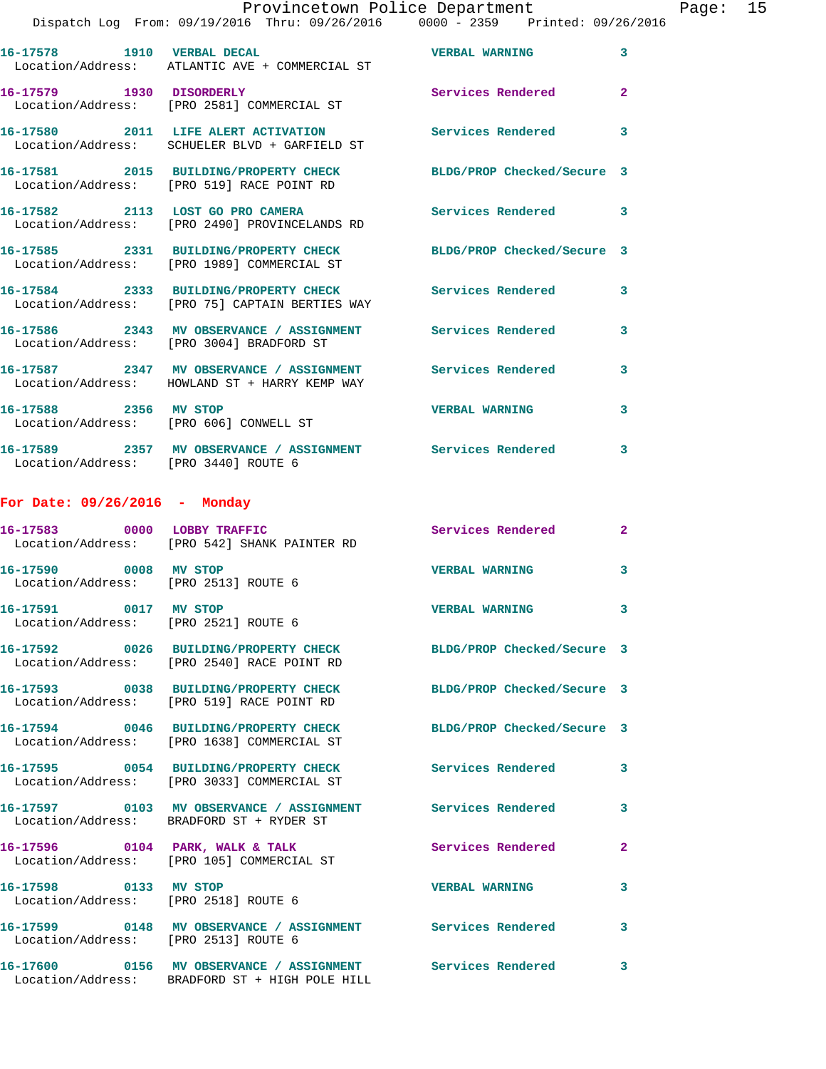| Provincetown Police Department |                                                                                |                       |   | Page: | 15 |
|--------------------------------|--------------------------------------------------------------------------------|-----------------------|---|-------|----|
|                                | Dispatch Log From: 09/19/2016 Thru: 09/26/2016 0000 - 2359 Printed: 09/26/2016 |                       |   |       |    |
| 16-17578<br>1910               | <b>VERBAL DECAL</b><br>Location/Address: ATLANTIC AVE + COMMERCIAL ST          | <b>VERBAL WARNING</b> |   |       |    |
| 16-17579<br>1930               | <b>DISORDERLY</b><br>Location/Address: [PRO 2581] COMMERCIAL ST                | Services Rendered     | 2 |       |    |
| 16-17580<br>2011               | LIFE ALERT ACTIVATION<br>Location/Address: SCHUELER BLVD + GARFIELD ST         | Services Rendered     | 3 |       |    |

**16-17581 2015 BUILDING/PROPERTY CHECK BLDG/PROP Checked/Secure 3**  Location/Address: [PRO 519] RACE POINT RD

**16-17582 2113 LOST GO PRO CAMERA Services Rendered 3**  Location/Address: [PRO 2490] PROVINCELANDS RD

**16-17585 2331 BUILDING/PROPERTY CHECK BLDG/PROP Checked/Secure 3**  Location/Address: [PRO 1989] COMMERCIAL ST

**16-17584 2333 BUILDING/PROPERTY CHECK Services Rendered 3**  Location/Address: [PRO 75] CAPTAIN BERTIES WAY

**16-17586 2343 MV OBSERVANCE / ASSIGNMENT Services Rendered 3**  Location/Address: [PRO 3004] BRADFORD ST **16-17587 2347 MV OBSERVANCE / ASSIGNMENT Services Rendered 3**  Location/Address: HOWLAND ST + HARRY KEMP WAY

**16-17588 2356 MV STOP VERBAL WARNING 3**  Location/Address: [PRO 606] CONWELL ST

**16-17589 2357 MV OBSERVANCE / ASSIGNMENT Services Rendered 3**  Location/Address: [PRO 3440] ROUTE 6

## **For Date: 09/26/2016 - Monday**

|                                                               | 16-17583 0000 LOBBY TRAFFIC<br>Location/Address: [PRO 542] SHANK PAINTER RD                                    | <b>Services Rendered</b>   | $\mathbf{2}$            |
|---------------------------------------------------------------|----------------------------------------------------------------------------------------------------------------|----------------------------|-------------------------|
| 16-17590 0008 MV STOP<br>Location/Address: [PRO 2513] ROUTE 6 |                                                                                                                | <b>VERBAL WARNING</b>      | $\overline{\mathbf{3}}$ |
| 16-17591 0017 MV STOP<br>Location/Address: [PRO 2521] ROUTE 6 |                                                                                                                | <b>VERBAL WARNING</b>      | $\overline{\mathbf{3}}$ |
|                                                               | 16-17592 0026 BUILDING/PROPERTY CHECK BLDG/PROP Checked/Secure 3<br>Location/Address: [PRO 2540] RACE POINT RD |                            |                         |
|                                                               | 16-17593 0038 BUILDING/PROPERTY CHECK<br>Location/Address: [PRO 519] RACE POINT RD                             | BLDG/PROP Checked/Secure 3 |                         |
|                                                               | 16-17594 0046 BUILDING/PROPERTY CHECK<br>Location/Address: [PRO 1638] COMMERCIAL ST                            | BLDG/PROP Checked/Secure 3 |                         |
|                                                               | 16-17595 0054 BUILDING/PROPERTY CHECK<br>Location/Address: [PRO 3033] COMMERCIAL ST                            | <b>Services Rendered</b>   | $\mathbf{3}$            |
|                                                               | Location/Address: BRADFORD ST + RYDER ST                                                                       |                            | $\mathbf{3}$            |
|                                                               | 16-17596 0104 PARK, WALK & TALK<br>Location/Address: [PRO 105] COMMERCIAL ST                                   | <b>Services Rendered</b>   | $\mathbf{2}$            |
| 16-17598 0133 MV STOP<br>Location/Address: [PRO 2518] ROUTE 6 |                                                                                                                | <b>VERBAL WARNING</b>      | $\mathbf{3}$            |
| Location/Address: [PRO 2513] ROUTE 6                          | 16-17599 0148 MV OBSERVANCE / ASSIGNMENT Services Rendered                                                     |                            | $\mathbf{3}$            |
|                                                               | 16-17600 0156 MV OBSERVANCE / ASSIGNMENT Services Rendered<br>Location/Address: BRADFORD ST + HIGH POLE HILL   |                            | $\mathbf{3}$            |